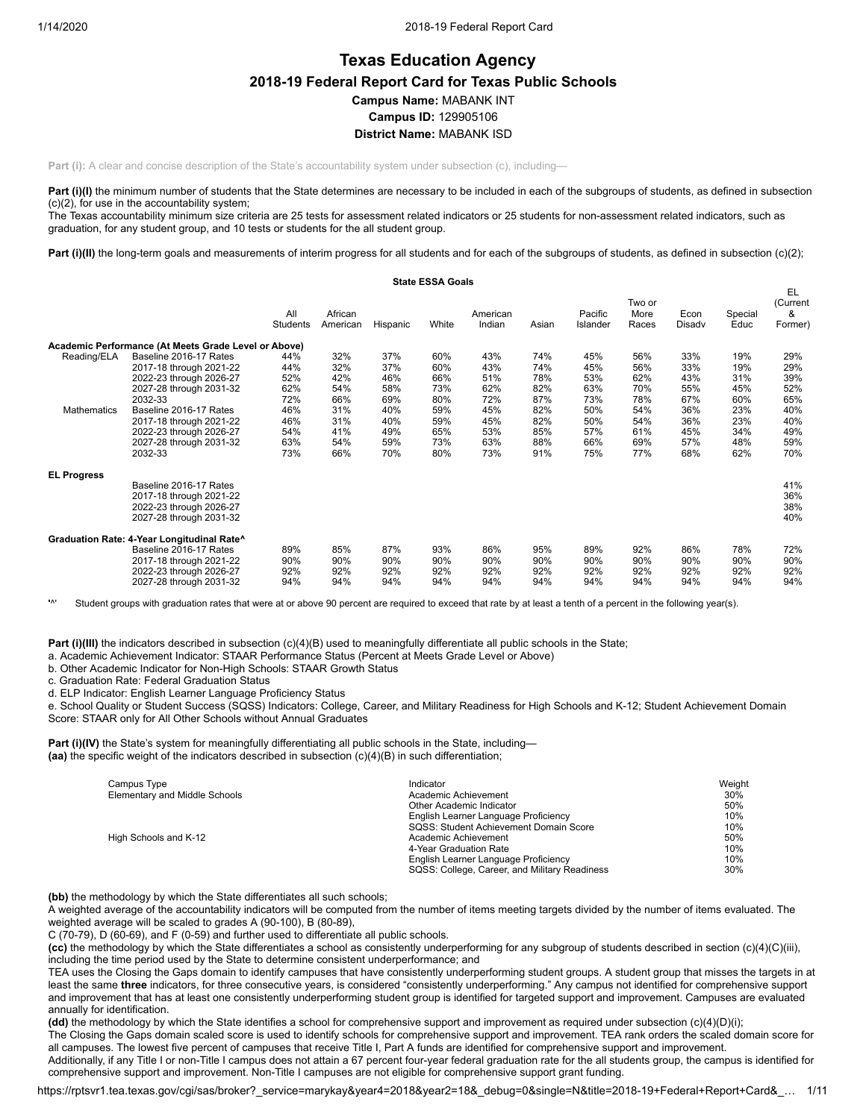# **Texas Education Agency 2018-19 Federal Report Card for Texas Public Schools Campus Name:** MABANK INT **Campus ID:** 129905106 **District Name:** MABANK ISD

**Part (i):** A clear and concise description of the State's accountability system under subsection (c), including—

Part (i)(I) the minimum number of students that the State determines are necessary to be included in each of the subgroups of students, as defined in subsection (c)(2), for use in the accountability system;

The Texas accountability minimum size criteria are 25 tests for assessment related indicators or 25 students for non-assessment related indicators, such as graduation, for any student group, and 10 tests or students for the all student group.

Part (i)(II) the long-term goals and measurements of interim progress for all students and for each of the subgroups of students, as defined in subsection (c)(2);

|                    |                                                      |                 |                     |          | <b>State ESSA Goals</b> |                    |       |                     |                         |                |                 |                                |
|--------------------|------------------------------------------------------|-----------------|---------------------|----------|-------------------------|--------------------|-------|---------------------|-------------------------|----------------|-----------------|--------------------------------|
|                    |                                                      | All<br>Students | African<br>American | Hispanic | White                   | American<br>Indian | Asian | Pacific<br>Islander | Two or<br>More<br>Races | Econ<br>Disadv | Special<br>Educ | EL<br>(Current<br>&<br>Former) |
|                    | Academic Performance (At Meets Grade Level or Above) |                 |                     |          |                         |                    |       |                     |                         |                |                 |                                |
| Reading/ELA        | Baseline 2016-17 Rates                               | 44%             | 32%                 | 37%      | 60%                     | 43%                | 74%   | 45%                 | 56%                     | 33%            | 19%             | 29%                            |
|                    | 2017-18 through 2021-22                              | 44%             | 32%                 | 37%      | 60%                     | 43%                | 74%   | 45%                 | 56%                     | 33%            | 19%             | 29%                            |
|                    | 2022-23 through 2026-27                              | 52%             | 42%                 | 46%      | 66%                     | 51%                | 78%   | 53%                 | 62%                     | 43%            | 31%             | 39%                            |
|                    | 2027-28 through 2031-32                              | 62%             | 54%                 | 58%      | 73%                     | 62%                | 82%   | 63%                 | 70%                     | 55%            | 45%             | 52%                            |
|                    | 2032-33                                              | 72%             | 66%                 | 69%      | 80%                     | 72%                | 87%   | 73%                 | 78%                     | 67%            | 60%             | 65%                            |
| Mathematics        | Baseline 2016-17 Rates                               | 46%             | 31%                 | 40%      | 59%                     | 45%                | 82%   | 50%                 | 54%                     | 36%            | 23%             | 40%                            |
|                    | 2017-18 through 2021-22                              | 46%             | 31%                 | 40%      | 59%                     | 45%                | 82%   | 50%                 | 54%                     | 36%            | 23%             | 40%                            |
|                    | 2022-23 through 2026-27                              | 54%             | 41%                 | 49%      | 65%                     | 53%                | 85%   | 57%                 | 61%                     | 45%            | 34%             | 49%                            |
|                    | 2027-28 through 2031-32                              | 63%             | 54%                 | 59%      | 73%                     | 63%                | 88%   | 66%                 | 69%                     | 57%            | 48%             | 59%                            |
|                    | 2032-33                                              | 73%             | 66%                 | 70%      | 80%                     | 73%                | 91%   | 75%                 | 77%                     | 68%            | 62%             | 70%                            |
| <b>EL Progress</b> |                                                      |                 |                     |          |                         |                    |       |                     |                         |                |                 |                                |
|                    | Baseline 2016-17 Rates                               |                 |                     |          |                         |                    |       |                     |                         |                |                 | 41%                            |
|                    | 2017-18 through 2021-22                              |                 |                     |          |                         |                    |       |                     |                         |                |                 | 36%                            |
|                    | 2022-23 through 2026-27                              |                 |                     |          |                         |                    |       |                     |                         |                |                 | 38%                            |
|                    | 2027-28 through 2031-32                              |                 |                     |          |                         |                    |       |                     |                         |                |                 | 40%                            |
|                    | Graduation Rate: 4-Year Longitudinal Rate^           |                 |                     |          |                         |                    |       |                     |                         |                |                 |                                |
|                    | Baseline 2016-17 Rates                               | 89%             | 85%                 | 87%      | 93%                     | 86%                | 95%   | 89%                 | 92%                     | 86%            | 78%             | 72%                            |
|                    | 2017-18 through 2021-22                              | 90%             | 90%                 | 90%      | 90%                     | 90%                | 90%   | 90%                 | 90%                     | 90%            | 90%             | 90%                            |
|                    | 2022-23 through 2026-27                              | 92%             | 92%                 | 92%      | 92%                     | 92%                | 92%   | 92%                 | 92%                     | 92%            | 92%             | 92%                            |
|                    | 2027-28 through 2031-32                              | 94%             | 94%                 | 94%      | 94%                     | 94%                | 94%   | 94%                 | 94%                     | 94%            | 94%             | 94%                            |

**'**^' Student groups with graduation rates that were at or above 90 percent are required to exceed that rate by at least a tenth of a percent in the following year(s).

**Part (i)(III)** the indicators described in subsection (c)(4)(B) used to meaningfully differentiate all public schools in the State;

a. Academic Achievement Indicator: STAAR Performance Status (Percent at Meets Grade Level or Above)

b. Other Academic Indicator for Non-High Schools: STAAR Growth Status

c. Graduation Rate: Federal Graduation Status

d. ELP Indicator: English Learner Language Proficiency Status

e. School Quality or Student Success (SQSS) Indicators: College, Career, and Military Readiness for High Schools and K-12; Student Achievement Domain Score: STAAR only for All Other Schools without Annual Graduates

**Part (i)(IV)** the State's system for meaningfully differentiating all public schools in the State, including— **(aa)** the specific weight of the indicators described in subsection (c)(4)(B) in such differentiation;

| Campus Type                   | Indicator                                     | Weight |
|-------------------------------|-----------------------------------------------|--------|
| Elementary and Middle Schools | Academic Achievement                          | 30%    |
|                               | Other Academic Indicator                      | 50%    |
|                               | English Learner Language Proficiency          | 10%    |
|                               | SQSS: Student Achievement Domain Score        | 10%    |
| High Schools and K-12         | Academic Achievement                          | 50%    |
|                               | 4-Year Graduation Rate                        | 10%    |
|                               | English Learner Language Proficiency          | 10%    |
|                               | SQSS: College, Career, and Military Readiness | 30%    |

**(bb)** the methodology by which the State differentiates all such schools;

A weighted average of the accountability indicators will be computed from the number of items meeting targets divided by the number of items evaluated. The weighted average will be scaled to grades A (90-100), B (80-89),

C (70-79), D (60-69), and F (0-59) and further used to differentiate all public schools.

**(cc)** the methodology by which the State differentiates a school as consistently underperforming for any subgroup of students described in section (c)(4)(C)(iii), including the time period used by the State to determine consistent underperformance; and

TEA uses the Closing the Gaps domain to identify campuses that have consistently underperforming student groups. A student group that misses the targets in at least the same **three** indicators, for three consecutive years, is considered "consistently underperforming." Any campus not identified for comprehensive support and improvement that has at least one consistently underperforming student group is identified for targeted support and improvement. Campuses are evaluated annually for identification.

**(dd)** the methodology by which the State identifies a school for comprehensive support and improvement as required under subsection (c)(4)(D)(i);

The Closing the Gaps domain scaled score is used to identify schools for comprehensive support and improvement. TEA rank orders the scaled domain score for all campuses. The lowest five percent of campuses that receive Title I, Part A funds are identified for comprehensive support and improvement.

Additionally, if any Title I or non-Title I campus does not attain a 67 percent four-year federal graduation rate for the all students group, the campus is identified for comprehensive support and improvement. Non-Title I campuses are not eligible for comprehensive support grant funding.

https://rptsvr1.tea.texas.gov/cgi/sas/broker?\_service=marykay&year4=2018&year2=18&\_debug=0&single=N&title=2018-19+Federal+Report+Card&\_… 1/11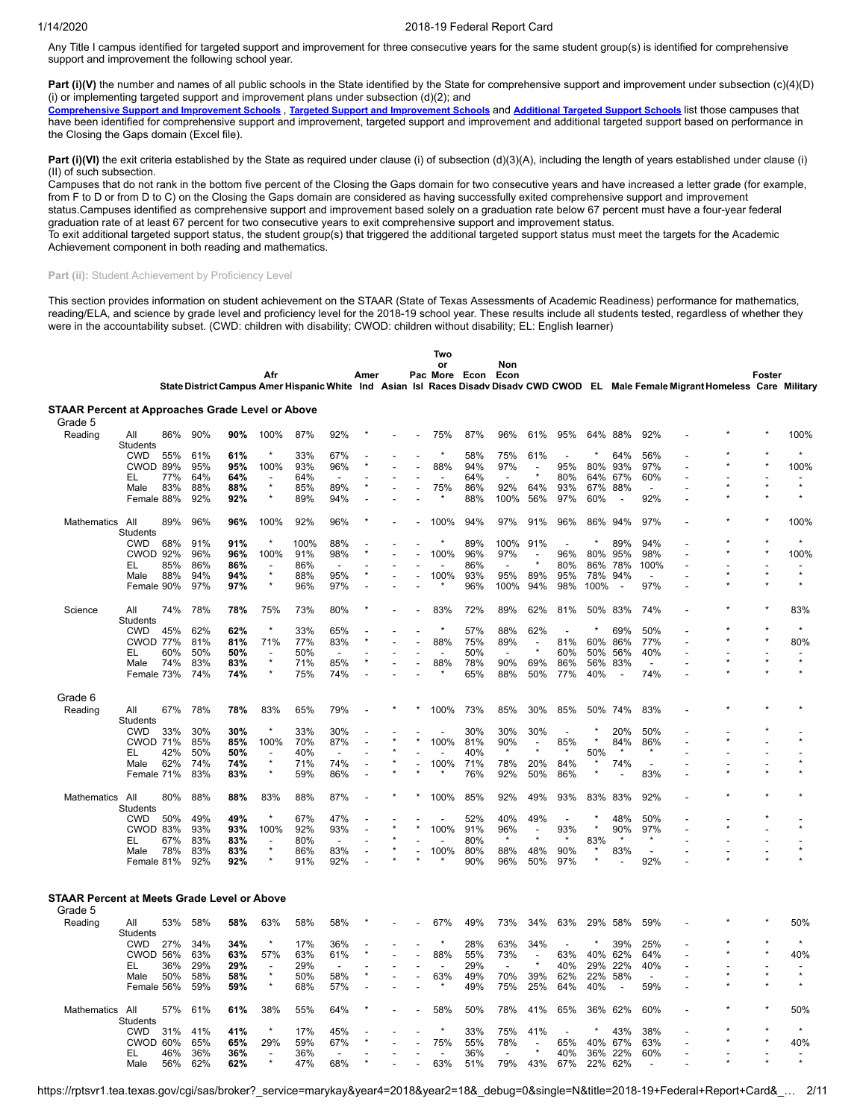Any Title I campus identified for targeted support and improvement for three consecutive years for the same student group(s) is identified for comprehensive support and improvement the following school year.

Part (i)(V) the number and names of all public schools in the State identified by the State for comprehensive support and improvement under subsection (c)(4)(D) (i) or implementing targeted support and improvement plans under subsection  $(d)(2)$ ; and

[Comprehensive](https://tea.texas.gov/sites/default/files/comprehensive_support_2019.xlsx) Support and [Improvement](https://tea.texas.gov/sites/default/files/target_support_2019.xlsx) Schools, Targeted Support and Improvement Schools and [Additional](https://tea.texas.gov/sites/default/files/additional_targeted_support_2019.xlsx) Targeted Support Schools list those campuses that have been identified for comprehensive support and improvement, targeted support and improvement and additional targeted support based on performance in the Closing the Gaps domain (Excel file).

Part (i)(VI) the exit criteria established by the State as required under clause (i) of subsection (d)(3)(A), including the length of years established under clause (i) (II) of such subsection.

Campuses that do not rank in the bottom five percent of the Closing the Gaps domain for two consecutive years and have increased a letter grade (for example, from F to D or from D to C) on the Closing the Gaps domain are considered as having successfully exited comprehensive support and improvement status.Campuses identified as comprehensive support and improvement based solely on a graduation rate below 67 percent must have a four-year federal

graduation rate of at least 67 percent for two consecutive years to exit comprehensive support and improvement status. To exit additional targeted support status, the student group(s) that triggered the additional targeted support status must meet the targets for the Academic

Achievement component in both reading and mathematics.

#### Part (ii): Student Achievement by Proficiency Level

This section provides information on student achievement on the STAAR (State of Texas Assessments of Academic Readiness) performance for mathematics, reading/ELA, and science by grade level and proficiency level for the 2018-19 school year. These results include all students tested, regardless of whether they were in the accountability subset. (CWD: children with disability; CWOD: children without disability; EL: English learner)

|                                                         |                        |     |     |     | Afr                      |      |                | Amer |  | Two<br>or<br>Pac More Econ |     | Non<br>Econ              |                          |                          |         |                          |                          |                                                                                                                                    | Foster |         |
|---------------------------------------------------------|------------------------|-----|-----|-----|--------------------------|------|----------------|------|--|----------------------------|-----|--------------------------|--------------------------|--------------------------|---------|--------------------------|--------------------------|------------------------------------------------------------------------------------------------------------------------------------|--------|---------|
|                                                         |                        |     |     |     |                          |      |                |      |  |                            |     |                          |                          |                          |         |                          |                          | State District Campus Amer Hispanic White Ind Asian Isl Races Disady Disady CWD CWOD EL Male Female Migrant Homeless Care Military |        |         |
| <b>STAAR Percent at Approaches Grade Level or Above</b> |                        |     |     |     |                          |      |                |      |  |                            |     |                          |                          |                          |         |                          |                          |                                                                                                                                    |        |         |
| Grade 5<br>Reading                                      | All                    | 86% | 90% | 90% | 100%                     | 87%  | 92%            |      |  | 75%                        | 87% | 96%                      | 61%                      | 95%                      | 64%     | 88%                      | 92%                      |                                                                                                                                    |        | 100%    |
|                                                         | Students               |     |     |     | $\star$                  | 33%  | 67%            |      |  | $\star$                    | 58% |                          |                          |                          | $\star$ | 64%                      |                          |                                                                                                                                    |        |         |
|                                                         | <b>CWD</b><br>CWOD 89% | 55% | 61% | 61% |                          | 93%  |                |      |  |                            | 94% | 75%                      | 61%                      |                          | 80%     | 93%                      | 56%<br>97%               |                                                                                                                                    |        | 100%    |
|                                                         |                        |     | 95% | 95% | 100%                     |      | 96%            |      |  | 88%                        |     | 97%                      | $\blacksquare$           | 95%                      |         |                          |                          |                                                                                                                                    |        |         |
|                                                         | EL                     | 77% | 64% | 64% | $\star$                  | 64%  | L.             |      |  | $\overline{a}$             | 64% | $\overline{a}$           |                          | 80%                      | 64%     | 67%                      | 60%                      |                                                                                                                                    |        | $\star$ |
|                                                         | Male                   | 83% | 88% | 88% | $\star$                  | 85%  | 89%            |      |  | 75%                        | 86% | 92%                      | 64%                      | 93%                      | 67%     | 88%                      |                          |                                                                                                                                    |        | $\star$ |
|                                                         | Female 88%             |     | 92% | 92% |                          | 89%  | 94%            |      |  |                            | 88% | 100%                     | 56%                      | 97%                      | 60%     | $\overline{\phantom{a}}$ | 92%                      |                                                                                                                                    |        |         |
| Mathematics All                                         | <b>Students</b>        | 89% | 96% | 96% | 100%                     | 92%  | 96%            |      |  | 100%                       | 94% | 97%                      | 91%                      | 96%                      | 86%     | 94%                      | 97%                      |                                                                                                                                    |        | 100%    |
|                                                         | <b>CWD</b>             | 68% | 91% | 91% |                          | 100% | 88%            |      |  |                            | 89% | 100%                     | 91%                      | L,                       |         | 89%                      | 94%                      |                                                                                                                                    |        |         |
|                                                         | CWOD 92%               |     | 96% | 96% | 100%                     | 91%  | 98%            |      |  | 100%                       | 96% | 97%                      | $\overline{\phantom{a}}$ | 96%                      | 80%     | 95%                      | 98%                      |                                                                                                                                    |        | 100%    |
|                                                         | EL                     | 85% | 86% | 86% | $\overline{\phantom{a}}$ | 86%  |                |      |  |                            | 86% | $\overline{a}$           | $\star$                  | 80%                      | 86%     | 78%                      | 100%                     |                                                                                                                                    |        |         |
|                                                         | Male                   | 88% | 94% | 94% | $\star$                  | 88%  | 95%            |      |  | 100%                       | 93% | 95%                      | 89%                      | 95%                      | 78%     | 94%                      | $\overline{\phantom{a}}$ |                                                                                                                                    |        | $\star$ |
|                                                         | Female 90%             |     | 97% | 97% | $\star$                  | 96%  | 97%            |      |  |                            | 96% | 100%                     | 94%                      | 98%                      | 100%    | $\overline{a}$           | 97%                      |                                                                                                                                    |        | $\star$ |
| Science                                                 | All<br>Students        | 74% | 78% | 78% | 75%                      | 73%  | 80%            |      |  | 83%                        | 72% | 89%                      | 62%                      | 81%                      | 50%     | 83%                      | 74%                      |                                                                                                                                    |        | 83%     |
|                                                         | <b>CWD</b>             |     | 62% | 62% | $\star$                  | 33%  |                |      |  | $\star$                    | 57% |                          | 62%                      | ÷.                       |         | 69%                      | 50%                      |                                                                                                                                    |        |         |
|                                                         |                        | 45% |     |     |                          |      | 65%            |      |  |                            |     | 88%                      |                          |                          |         |                          |                          |                                                                                                                                    |        |         |
|                                                         | <b>CWOD 77%</b>        |     | 81% | 81% | 71%                      | 77%  | 83%            |      |  | 88%                        | 75% | 89%                      |                          | 81%                      | 60%     | 86%                      | 77%                      |                                                                                                                                    |        | 80%     |
|                                                         | EL                     | 60% | 50% | 50% | $\star$                  | 50%  | $\overline{a}$ |      |  |                            | 50% | $\overline{\phantom{a}}$ |                          | 60%                      | 50%     | 56%                      | 40%                      |                                                                                                                                    |        | $\star$ |
|                                                         | Male                   | 74% | 83% | 83% | $\star$                  | 71%  | 85%            |      |  | 88%                        | 78% | 90%                      | 69%                      | 86%                      | 56%     | 83%                      | $\overline{a}$           |                                                                                                                                    |        |         |
|                                                         | Female 73%             |     | 74% | 74% |                          | 75%  | 74%            |      |  |                            | 65% | 88%                      | 50%                      | 77%                      | 40%     |                          | 74%                      |                                                                                                                                    |        |         |
| Grade 6                                                 |                        |     |     |     |                          |      |                |      |  |                            |     |                          |                          |                          |         |                          |                          |                                                                                                                                    |        |         |
| Reading                                                 | All<br>Students        | 67% | 78% | 78% | 83%                      | 65%  | 79%            |      |  | 100%                       | 73% | 85%                      | 30%                      | 85%                      | 50%     | 74%                      | 83%                      |                                                                                                                                    |        |         |
|                                                         | <b>CWD</b>             | 33% | 30% | 30% | $\star$                  | 33%  | 30%            |      |  |                            | 30% | 30%                      | 30%                      |                          |         | 20%                      | 50%                      |                                                                                                                                    |        |         |
|                                                         | <b>CWOD 71%</b>        |     | 85% | 85% | 100%                     | 70%  | 87%            |      |  | 100%                       | 81% | 90%                      | $\overline{a}$           | 85%                      | $\star$ | 84%                      | 86%                      |                                                                                                                                    |        |         |
|                                                         | EL                     | 42% | 50% | 50% |                          | 40%  |                |      |  |                            | 40% |                          |                          |                          | 50%     |                          |                          |                                                                                                                                    |        |         |
|                                                         | Male                   | 62% | 74% | 74% |                          | 71%  | 74%            |      |  | 100%                       | 71% | 78%                      | 20%                      | 84%                      |         | 74%                      |                          |                                                                                                                                    |        |         |
|                                                         | Female 71%             |     | 83% | 83% | $\star$                  | 59%  | 86%            |      |  |                            | 76% | 92%                      | 50%                      | 86%                      | ×       |                          | 83%                      | L.                                                                                                                                 |        |         |
| Mathematics                                             | All                    | 80% | 88% | 88% | 83%                      | 88%  | 87%            |      |  | 100%                       | 85% | 92%                      | 49%                      | 93%                      | 83%     | 83%                      | 92%                      |                                                                                                                                    |        |         |
|                                                         | Students               |     |     |     | $\star$                  |      |                |      |  |                            |     |                          |                          |                          |         |                          |                          |                                                                                                                                    |        |         |
|                                                         | <b>CWD</b>             | 50% | 49% | 49% |                          | 67%  | 47%            |      |  |                            | 52% | 40%                      | 49%                      | $\overline{\phantom{a}}$ |         | 48%                      | 50%                      |                                                                                                                                    |        |         |
|                                                         | <b>CWOD 83%</b>        |     | 93% | 93% | 100%                     | 92%  | 93%            |      |  | 100%                       | 91% | 96%                      | $\overline{a}$           | 93%                      | $\star$ | 90%                      | 97%                      |                                                                                                                                    |        |         |
|                                                         | EL                     | 67% | 83% | 83% |                          | 80%  |                |      |  |                            | 80% | $\star$                  |                          |                          | 83%     |                          |                          |                                                                                                                                    |        |         |
|                                                         | Male                   | 78% | 83% | 83% | $\star$                  | 86%  | 83%            |      |  | 100%                       | 80% | 88%                      | 48%                      | 90%                      | $\star$ | 83%                      | $\overline{\phantom{a}}$ |                                                                                                                                    |        |         |
|                                                         | Female 81%             |     | 92% | 92% |                          | 91%  | 92%            |      |  |                            | 90% | 96%                      | 50%                      | 97%                      |         |                          | 92%                      |                                                                                                                                    |        |         |
| <b>STAAR Percent at Meets Grade Level or Above</b>      |                        |     |     |     |                          |      |                |      |  |                            |     |                          |                          |                          |         |                          |                          |                                                                                                                                    |        |         |
| Grade 5                                                 |                        |     |     |     |                          |      |                |      |  |                            |     |                          |                          |                          |         |                          |                          |                                                                                                                                    |        |         |
| Reading                                                 | All<br><b>Students</b> | 53% | 58% | 58% | 63%                      | 58%  | 58%            |      |  | 67%                        | 49% | 73%                      | 34%                      | 63%                      | 29%     | 58%                      | 59%                      |                                                                                                                                    |        | 50%     |
|                                                         | <b>CWD</b>             | 27% | 34% | 34% | $\star$                  | 17%  | 36%            |      |  | $\star$                    | 28% | 63%                      | 34%                      | $\overline{a}$           |         | 39%                      | 25%                      |                                                                                                                                    |        |         |
|                                                         | CWOD 56%               |     | 63% | 63% | 57%                      | 63%  | 61%            |      |  | 88%                        | 55% | 73%                      | $\overline{\phantom{a}}$ | 63%                      | 40%     | 62%                      | 64%                      |                                                                                                                                    |        | 40%     |
|                                                         | EL                     | 36% | 29% | 29% |                          | 29%  |                |      |  |                            | 29% |                          |                          | 40%                      | 29%     | 22%                      | 40%                      |                                                                                                                                    |        |         |
|                                                         | Male                   | 50% | 58% | 58% | $\star$                  | 50%  | 58%            |      |  | 63%                        | 49% | 70%                      | 39%                      | 62%                      | 22%     | 58%                      | $\overline{\phantom{a}}$ |                                                                                                                                    |        | $\star$ |
|                                                         | Female 56%             |     | 59% | 59% | $\star$                  | 68%  | 57%            |      |  |                            | 49% | 75%                      | 25%                      | 64%                      | 40%     |                          | 59%                      |                                                                                                                                    |        |         |
|                                                         |                        |     |     |     |                          |      |                |      |  |                            |     |                          |                          |                          |         |                          |                          |                                                                                                                                    |        |         |
| <b>Mathematics</b>                                      | All<br><b>Students</b> | 57% | 61% | 61% | 38%                      | 55%  | 64%            |      |  | 58%                        | 50% | 78%                      | 41%                      | 65%                      | 36%     | 62%                      | 60%                      |                                                                                                                                    |        | 50%     |
|                                                         | <b>CWD</b>             | 31% | 41% | 41% |                          | 17%  | 45%            |      |  |                            | 33% | 75%                      | 41%                      |                          |         | 43%                      | 38%                      |                                                                                                                                    |        |         |

CWOD 60% 65% **65%** 29% 59% 67% \* - - 75% 55% 78% - 65% 40% 67% 63% - \* \* 40% EL 46% 36% **36%** - 36% - - - - - 36% - \* 40% 36% 22% 60% - - - - Male 56% 62% **62%** \* 47% 68% \* - - 63% 51% 79% 43% 67% 22% 62% - - \* \* \*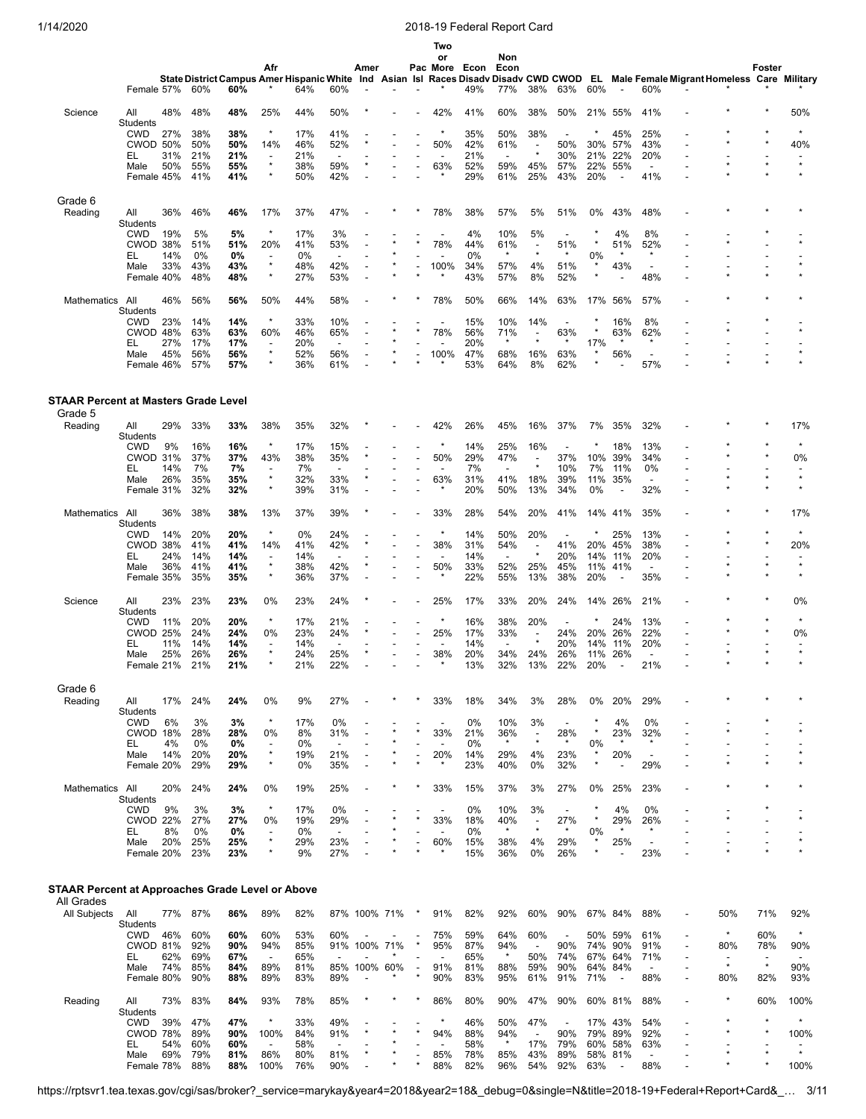|                                                        |                               |            |            |            |                                     |            |                                 |              |     |         | Two<br>or                       |            | Non                             |                                     |                                 |               |                          |                                     |                                                                                                                                    |                                     |         |                    |
|--------------------------------------------------------|-------------------------------|------------|------------|------------|-------------------------------------|------------|---------------------------------|--------------|-----|---------|---------------------------------|------------|---------------------------------|-------------------------------------|---------------------------------|---------------|--------------------------|-------------------------------------|------------------------------------------------------------------------------------------------------------------------------------|-------------------------------------|---------|--------------------|
|                                                        |                               |            |            |            | Afr                                 |            |                                 | Amer         |     |         | Pac More Econ                   |            | Econ                            |                                     |                                 |               |                          |                                     |                                                                                                                                    |                                     | Foster  |                    |
|                                                        | Female 57%                    |            | 60%        | 60%        |                                     | 64%        | 60%                             |              |     |         |                                 | 49%        | 77%                             | 38%                                 | 63%                             | 60%           |                          | 60%                                 | State District Campus Amer Hispanic White Ind Asian Isl Races Disadv Disadv CWD CWOD EL Male Female Migrant Homeless Care Military |                                     |         |                    |
| Science                                                | All                           | 48%        | 48%        | 48%        | 25%                                 | 44%        | 50%                             |              |     |         | 42%                             | 41%        | 60%                             | 38%                                 | 50%                             | 21%           | 55%                      | 41%                                 |                                                                                                                                    |                                     |         | 50%                |
|                                                        | Students<br><b>CWD</b>        | 27%        | 38%        | 38%        | ×                                   | 17%        | 41%                             |              |     |         | $\star$                         | 35%        | 50%                             | 38%                                 | $\overline{\phantom{a}}$        |               | 45%                      | 25%                                 |                                                                                                                                    |                                     |         | $\star$            |
|                                                        | <b>CWOD 50%</b>               |            | 50%        | 50%        | 14%                                 | 46%        | 52%                             |              |     |         | 50%                             | 42%        | 61%                             | $\overline{\phantom{a}}$            | 50%                             | 30%           | 57%                      | 43%                                 |                                                                                                                                    |                                     |         | 40%                |
|                                                        | EL<br>Male                    | 31%<br>50% | 21%<br>55% | 21%<br>55% | $\overline{\phantom{a}}$<br>$\star$ | 21%<br>38% | $\overline{\phantom{a}}$<br>59% |              |     |         | $\overline{\phantom{a}}$<br>63% | 21%<br>52% | $\overline{\phantom{a}}$<br>59% | $\star$<br>45%                      | 30%<br>57%                      | 21%<br>22%    | 22%<br>55%               | 20%<br>$\overline{a}$               |                                                                                                                                    |                                     |         | $\star$            |
|                                                        | Female 45%                    |            | 41%        | 41%        | ×                                   | 50%        | 42%                             |              |     |         |                                 | 29%        | 61%                             | 25%                                 | 43%                             | 20%           | $\overline{\phantom{a}}$ | 41%                                 |                                                                                                                                    |                                     |         |                    |
|                                                        |                               |            |            |            |                                     |            |                                 |              |     |         |                                 |            |                                 |                                     |                                 |               |                          |                                     |                                                                                                                                    |                                     |         |                    |
| Grade 6<br>Reading                                     | All<br><b>Students</b>        | 36%        | 46%        | 46%        | 17%                                 | 37%        | 47%                             |              |     |         | 78%                             | 38%        | 57%                             | 5%                                  | 51%                             | 0%            | 43%                      | 48%                                 |                                                                                                                                    |                                     |         |                    |
|                                                        | <b>CWD</b><br>CWOD 38%        | 19%        | 5%<br>51%  | 5%<br>51%  | ×<br>20%                            | 17%<br>41% | 3%<br>53%                       |              |     |         | ÷,<br>78%                       | 4%<br>44%  | 10%<br>61%                      | 5%<br>$\overline{\phantom{a}}$      | $\overline{\phantom{a}}$<br>51% |               | 4%<br>51%                | 8%<br>52%                           |                                                                                                                                    |                                     |         |                    |
|                                                        | EL                            | 14%        | 0%         | 0%         |                                     | 0%         | $\overline{\phantom{a}}$        |              |     |         |                                 | 0%         | $\star$                         |                                     | $\ast$                          | 0%            |                          | $\star$                             |                                                                                                                                    |                                     |         |                    |
|                                                        | Male<br>Female 40%            | 33%        | 43%<br>48% | 43%<br>48% | $\star$<br>×                        | 48%<br>27% | 42%<br>53%                      |              |     |         | 100%                            | 34%<br>43% | 57%<br>57%                      | 4%<br>8%                            | 51%<br>52%                      |               | 43%                      | -<br>48%                            |                                                                                                                                    |                                     |         |                    |
| Mathematics                                            | All<br><b>Students</b>        | 46%        | 56%        | 56%        | 50%                                 | 44%        | 58%                             |              |     |         | 78%                             | 50%        | 66%                             | 14%                                 | 63%                             | 17%           | 56%                      | 57%                                 |                                                                                                                                    |                                     |         |                    |
|                                                        | <b>CWD</b>                    | 23%        | 14%        | 14%        | $\star$                             | 33%        | 10%                             |              |     |         | $\overline{\phantom{a}}$        | 15%        | 10%                             | 14%                                 | $\overline{\phantom{a}}$        |               | 16%                      | 8%                                  |                                                                                                                                    |                                     |         |                    |
|                                                        | CWOD 48%<br>EL                | 27%        | 63%<br>17% | 63%<br>17% | 60%<br>$\overline{\phantom{a}}$     | 46%<br>20% | 65%<br>$\overline{\phantom{a}}$ |              |     |         | 78%                             | 56%<br>20% | 71%                             |                                     | 63%                             | 17%           | 63%                      | 62%                                 |                                                                                                                                    |                                     |         |                    |
|                                                        | Male                          | 45%        | 56%        | 56%        | ×                                   | 52%        | 56%                             |              |     |         | 100%                            | 47%        | 68%                             | 16%                                 | 63%                             | $\star$       | 56%                      | $\overline{\phantom{a}}$            |                                                                                                                                    |                                     |         |                    |
|                                                        | Female 46%                    |            | 57%        | 57%        | ×                                   | 36%        | 61%                             |              |     |         | $\star$                         | 53%        | 64%                             | 8%                                  | 62%                             |               |                          | 57%                                 |                                                                                                                                    |                                     |         |                    |
| <b>STAAR Percent at Masters Grade Level</b><br>Grade 5 |                               |            |            |            |                                     |            |                                 |              |     |         |                                 |            |                                 |                                     |                                 |               |                          |                                     |                                                                                                                                    |                                     |         |                    |
| Reading                                                | All<br>Students               | 29%        | 33%        | 33%        | 38%                                 | 35%        | 32%                             |              |     |         | 42%                             | 26%        | 45%                             | 16%                                 | 37%                             | 7%            | 35%                      | 32%                                 |                                                                                                                                    |                                     |         | 17%                |
|                                                        | CWD                           | 9%         | 16%        | 16%        | $\star$                             | 17%        | 15%                             |              |     |         |                                 | 14%        | 25%                             | 16%                                 |                                 |               | 18%                      | 13%                                 |                                                                                                                                    |                                     |         | $\star$            |
|                                                        | CWOD 31%                      | 14%        | 37%        | 37%        | 43%                                 | 38%        | 35%<br>$\overline{\phantom{a}}$ |              |     |         | 50%                             | 29%        | 47%<br>$\overline{a}$           | $\blacksquare$<br>$\star$           | 37%                             | 10%           | 39%                      | 34%<br>0%                           |                                                                                                                                    |                                     |         | 0%                 |
|                                                        | EL<br>Male                    | 26%        | 7%<br>35%  | 7%<br>35%  | ÷,<br>$\star$                       | 7%<br>32%  | 33%                             |              |     |         | 63%                             | 7%<br>31%  | 41%                             | 18%                                 | 10%<br>39%                      | 7%<br>11%     | 11%<br>35%               | $\overline{\phantom{a}}$            |                                                                                                                                    |                                     |         | $\star$            |
|                                                        | Female 31%                    |            | 32%        | 32%        | $\star$                             | 39%        | 31%                             |              |     |         |                                 | 20%        | 50%                             | 13%                                 | 34%                             | 0%            |                          | 32%                                 |                                                                                                                                    |                                     |         |                    |
| Mathematics All                                        | Students                      | 36%        | 38%        | 38%        | 13%                                 | 37%        | 39%                             |              |     |         | 33%                             | 28%        | 54%                             | 20%                                 | 41%                             | 14%           | 41%                      | 35%                                 |                                                                                                                                    |                                     |         | 17%                |
|                                                        | CWD<br>CWOD 38%               | 14%        | 20%<br>41% | 20%<br>41% | $\star$<br>14%                      | 0%<br>41%  | 24%<br>42%                      |              |     |         | $\star$<br>38%                  | 14%<br>31% | 50%<br>54%                      | 20%                                 | $\overline{\phantom{a}}$<br>41% | 20%           | 25%<br>45%               | 13%<br>38%                          |                                                                                                                                    |                                     |         | $\star$<br>20%     |
|                                                        | EL                            | 24%        | 14%        | 14%        | $\overline{\phantom{a}}$            | 14%        | $\overline{a}$                  |              |     |         | $\overline{\phantom{a}}$        | 14%        | $\overline{a}$                  | $\star$                             | 20%                             | 14%           | 11%                      | 20%                                 |                                                                                                                                    |                                     |         |                    |
|                                                        | Male<br>Female 35%            | 36%        | 41%<br>35% | 41%<br>35% | $\star$<br>$\star$                  | 38%<br>36% | 42%<br>37%                      |              |     |         | 50%<br>$\star$                  | 33%<br>22% | 52%<br>55%                      | 25%<br>13%                          | 45%<br>38%                      | 11%<br>20%    | 41%                      | $\overline{\phantom{a}}$<br>35%     |                                                                                                                                    |                                     |         | $\star$<br>$\star$ |
| Science                                                | All                           | 23%        | 23%        | 23%        | 0%                                  | 23%        | 24%                             |              |     |         | 25%                             | 17%        | 33%                             | 20%                                 | 24%                             | 14%           | 26%                      | 21%                                 |                                                                                                                                    |                                     |         | 0%                 |
|                                                        | Students<br><b>CWD</b>        | 11%        | 20%        | 20%        | $\star$                             | 17%        | 21%                             |              |     |         | $\star$                         | 16%        | 38%                             | 20%                                 |                                 |               | 24%                      | 13%                                 |                                                                                                                                    |                                     |         | $\star$            |
|                                                        | <b>CWOD 25%</b>               |            | 24%        | 24%        | 0%                                  | 23%        | 24%                             |              |     |         | 25%                             | 17%        | 33%                             | $\overline{\phantom{a}}$<br>$\star$ | 24%                             | 20%           | 26%                      | 22%                                 |                                                                                                                                    |                                     |         | 0%                 |
|                                                        | EL.<br>Male                   | 11%<br>25% | 14%<br>26% | 14%<br>26% | $\overline{a}$<br>$\star$           | 14%<br>24% | 25%                             |              |     |         | ÷,<br>38%                       | 14%<br>20% | $\overline{a}$<br>34%           | 24%                                 | 20%<br>26%                      | 14%<br>11%    | 11%<br>26%               | 20%                                 |                                                                                                                                    |                                     |         | $\star$            |
|                                                        | Female 21%                    |            | 21%        | 21%        |                                     | 21%        | 22%                             |              |     |         |                                 | 13%        | 32%                             | 13%                                 | 22%                             | 20%           |                          | 21%                                 |                                                                                                                                    |                                     |         |                    |
| Grade 6<br>Reading                                     |                               | 17%        | 24%        | 24%        | 0%                                  | 9%         | 27%                             |              |     |         | 33%                             | 18%        | 34%                             | 3%                                  | 28%                             | 0%            | 20%                      | 29%                                 |                                                                                                                                    |                                     |         |                    |
|                                                        | All<br>Students<br><b>CWD</b> | 6%         | 3%         | 3%         | $\star$                             | 17%        | 0%                              |              |     |         | $\overline{\phantom{a}}$        | 0%         | 10%                             | 3%                                  | $\overline{\phantom{a}}$        |               | 4%                       | 0%                                  |                                                                                                                                    |                                     |         |                    |
|                                                        | CWOD 18%                      |            | 28%        | 28%        | 0%                                  | 8%         | 31%                             |              |     |         | 33%                             | 21%        | 36%                             | $\overline{\phantom{a}}$            | 28%                             |               | 23%                      | 32%                                 |                                                                                                                                    |                                     |         |                    |
|                                                        | EL<br>Male                    | 4%<br>14%  | 0%<br>20%  | 0%<br>20%  | $\overline{\phantom{a}}$<br>$\star$ | 0%<br>19%  | $\overline{\phantom{a}}$<br>21% |              |     |         | 20%                             | 0%<br>14%  | $\star$<br>29%                  | $\star$<br>4%                       | $\star$<br>23%                  | 0%<br>$\star$ | $\star$<br>20%           | $\star$<br>$\overline{\phantom{a}}$ |                                                                                                                                    |                                     |         |                    |
|                                                        | Female 20%                    |            | 29%        | 29%        | $\star$                             | 0%         | 35%                             |              |     |         |                                 | 23%        | 40%                             | 0%                                  | 32%                             | $\star$       |                          | 29%                                 |                                                                                                                                    |                                     |         |                    |
| Mathematics All                                        | Students                      | 20%        | 24%        | 24%        | 0%                                  | 19%        | 25%                             |              | ×   |         | 33%                             | 15%        | 37%                             | 3%                                  | 27%                             | 0%            | 25%                      | 23%                                 |                                                                                                                                    |                                     |         |                    |
|                                                        | <b>CWD</b>                    | 9%         | 3%         | 3%         | $\star$                             | 17%        | 0%                              |              |     |         | $\overline{\phantom{a}}$        | 0%         | 10%                             | 3%                                  | $\overline{\phantom{a}}$        |               | 4%                       | 0%                                  |                                                                                                                                    |                                     |         |                    |
|                                                        | <b>CWOD 22%</b><br>EL         | 8%         | 27%<br>0%  | 27%<br>0%  | 0%<br>$\overline{\phantom{a}}$      | 19%<br>0%  | 29%<br>$\overline{\phantom{a}}$ |              |     | $\star$ | 33%                             | 18%<br>0%  | 40%<br>$\star$                  | $\overline{\phantom{a}}$<br>$\star$ | 27%<br>$\star$                  | $\star$<br>0% | 29%<br>$\star$           | 26%<br>$\star$                      |                                                                                                                                    |                                     |         | $\star$            |
|                                                        | Male                          | 20%        | 25%        | 25%        | $\star$                             | 29%        | 23%                             |              |     |         | 60%                             | 15%        | 38%                             | 4%                                  | 29%                             |               | 25%                      | $\overline{\phantom{a}}$            |                                                                                                                                    |                                     |         |                    |
|                                                        | Female 20%                    |            | 23%        | 23%        | ×                                   | 9%         | 27%                             |              |     |         |                                 | 15%        | 36%                             | 0%                                  | 26%                             |               |                          | 23%                                 |                                                                                                                                    |                                     |         |                    |
| STAAR Percent at Approaches Grade Level or Above       |                               |            |            |            |                                     |            |                                 |              |     |         |                                 |            |                                 |                                     |                                 |               |                          |                                     |                                                                                                                                    |                                     |         |                    |
| All Grades<br>All Subjects                             | All                           | 77%        | 87%        | 86%        | 89%                                 | 82%        |                                 | 87% 100% 71% |     |         | 91%                             | 82%        | 92%                             | 60%                                 | 90%                             |               | 67% 84%                  | 88%                                 |                                                                                                                                    | 50%                                 | 71%     | 92%                |
|                                                        | Students<br><b>CWD</b>        | 46%        | 60%        | 60%        | 60%                                 | 53%        | 60%                             |              |     |         | 75%                             | 59%        | 64%                             | 60%                                 |                                 | 50%           | 59%                      | 61%                                 |                                                                                                                                    | $\star$                             | 60%     | $\star$            |
|                                                        | <b>CWOD 81%</b>               |            | 92%        | 90%        | 94%                                 | 85%        |                                 | 91% 100% 71% |     | ×       | 95%                             | 87%        | 94%                             | $\overline{\phantom{a}}$            | 90%                             | 74%           | 90%                      | 91%                                 | $\blacksquare$                                                                                                                     | 80%                                 | 78%     | 90%                |
|                                                        | EL<br>Male                    | 62%<br>74% | 69%<br>85% | 67%<br>84% | $\overline{\phantom{a}}$<br>89%     | 65%<br>81% | 85%                             | 100%         | 60% |         | 91%                             | 65%<br>81% | $\star$<br>88%                  | 50%<br>59%                          | 74%<br>90%                      | 67%<br>64%    | 64%<br>84%               | 71%<br>$\overline{\phantom{a}}$     | $\overline{\phantom{a}}$                                                                                                           | $\overline{\phantom{a}}$<br>$\star$ | $\star$ | 90%                |
|                                                        | Female 80%                    |            | 90%        | 88%        | 89%                                 | 83%        | 89%                             |              |     |         | 90%                             | 83%        | 95%                             | 61%                                 | 91%                             | 71%           | $\overline{\phantom{a}}$ | 88%                                 | $\overline{a}$                                                                                                                     | 80%                                 | 82%     | 93%                |
| Reading                                                | All<br>Students               | 73%        | 83%        | 84%        | 93%                                 | 78%        | 85%                             |              |     |         | 86%                             | 80%        | 90%                             | 47%                                 | 90%                             |               | 60% 81%                  | 88%                                 |                                                                                                                                    |                                     | 60%     | 100%               |
|                                                        | <b>CWD</b>                    | 39%        | 47%        | 47%        | $\star$                             | 33%        | 49%                             |              |     |         | $\ast$                          | 46%        | 50%                             | 47%                                 | $\overline{\phantom{a}}$        | 17%           | 43%                      | 54%                                 |                                                                                                                                    |                                     |         | $\star$            |
|                                                        | CWOD 78%<br>EL                | 54%        | 89%<br>60% | 90%<br>60% | 100%<br>$\overline{a}$              | 84%<br>58% | 91%                             |              |     | A       | 94%                             | 88%<br>58% | 94%<br>$\star$                  | $\blacksquare$<br>17%               | 90%<br>79%                      | 79%<br>60%    | 89%<br>58%               | 92%<br>63%                          | $\overline{a}$                                                                                                                     |                                     |         | 100%               |
|                                                        | Male                          | 69%        | 79%        | 81%        | 86%                                 | 80%        | 81%                             |              |     |         | 85%                             | 78%        | 85%                             | 43%                                 | 89%                             |               | 58% 81%                  | $\overline{\phantom{a}}$            |                                                                                                                                    |                                     |         | $\star$            |
|                                                        | Female 78%                    |            | 88%        | 88%        | 100%                                | 76%        | 90%                             |              |     |         | 88%                             | 82%        | 96%                             | 54%                                 | 92%                             | 63%           |                          | 88%                                 |                                                                                                                                    |                                     |         | 100%               |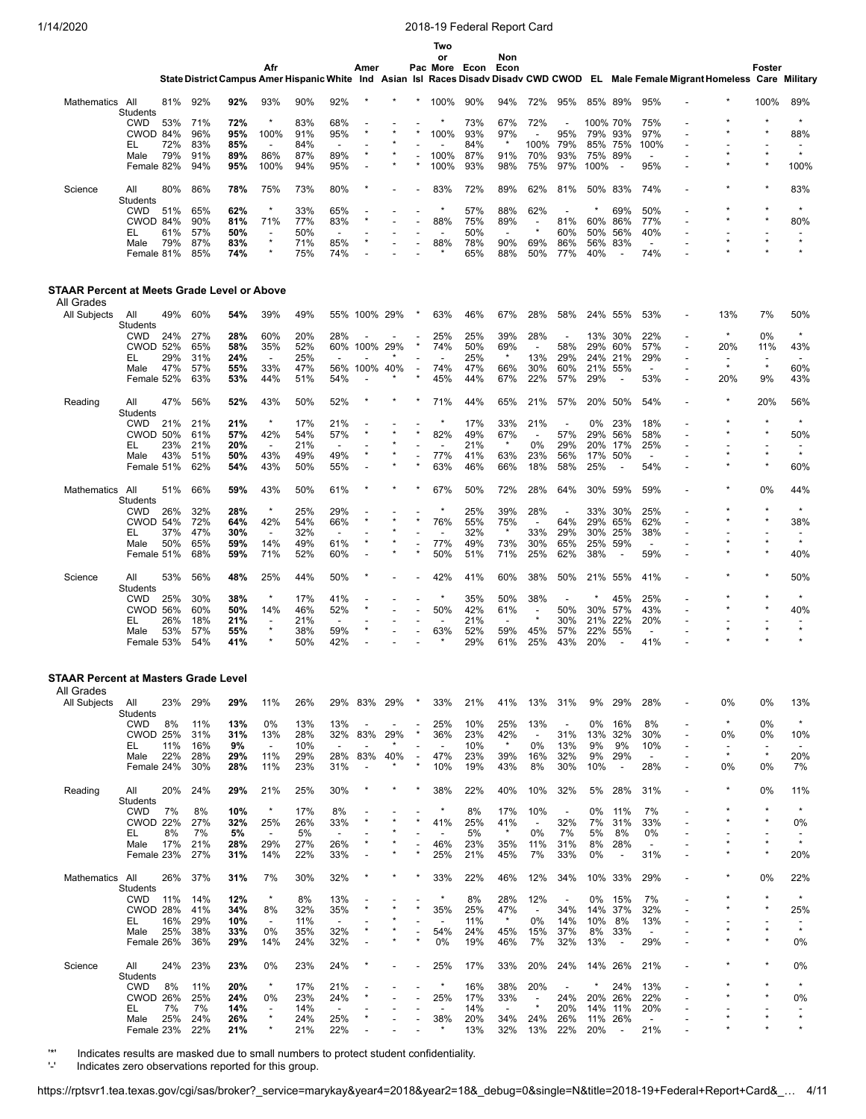|                                             |                               |            |            |            |                                 |            |                                 |              |         |                          | Two<br>or                       |               | Non                             |                                     |                          |            |                                 |                                  |                                                                                                                                    |                                     |                                     |                |
|---------------------------------------------|-------------------------------|------------|------------|------------|---------------------------------|------------|---------------------------------|--------------|---------|--------------------------|---------------------------------|---------------|---------------------------------|-------------------------------------|--------------------------|------------|---------------------------------|----------------------------------|------------------------------------------------------------------------------------------------------------------------------------|-------------------------------------|-------------------------------------|----------------|
|                                             |                               |            |            |            | Afr                             |            |                                 | Amer         |         |                          |                                 | Pac More Econ | Econ                            |                                     |                          |            |                                 |                                  | State District Campus Amer Hispanic White Ind Asian Isl Races Disadv Disadv CWD CWOD EL Male Female Migrant Homeless Care Military |                                     | Foster                              |                |
| Mathematics All                             |                               | 81%        | 92%        | 92%        | 93%                             | 90%        | 92%                             |              |         |                          | 100%                            | 90%           | 94%                             | 72%                                 | 95%                      | 85%        | 89%                             | 95%                              |                                                                                                                                    |                                     | 100%                                | 89%            |
|                                             | <b>Students</b><br><b>CWD</b> | 53%        | 71%        | 72%        | ×                               | 83%        | 68%                             |              |         |                          |                                 | 73%           | 67%                             | 72%                                 |                          |            | 100% 70%                        | 75%                              |                                                                                                                                    |                                     |                                     |                |
|                                             | CWOD 84%                      |            | 96%        | 95%        | 100%                            | 91%        | 95%                             |              |         |                          | 100%                            | 93%           | 97%                             |                                     | 95%                      | 79%        | 93%                             | 97%                              |                                                                                                                                    |                                     |                                     | 88%            |
|                                             | EL<br>Male                    | 72%<br>79% | 83%<br>91% | 85%<br>89% | $\overline{\phantom{a}}$<br>86% | 84%<br>87% | $\overline{\phantom{a}}$<br>89% |              |         |                          | 100%                            | 84%<br>87%    | $\star$<br>91%                  | 100%<br>70%                         | 79%<br>93%               | 85%<br>75% | 75%<br>89%                      | 100%<br>$\overline{\phantom{a}}$ |                                                                                                                                    |                                     |                                     | $\star$        |
|                                             | Female 82%                    |            | 94%        | 95%        | 100%                            | 94%        | 95%                             |              |         |                          | 100%                            | 93%           | 98%                             | 75%                                 | 97%                      | 100%       |                                 | 95%                              |                                                                                                                                    |                                     |                                     | 100%           |
| Science                                     | All<br>Students               | 80%        | 86%        | 78%        | 75%                             | 73%        | 80%                             |              |         |                          | 83%                             | 72%           | 89%                             | 62%                                 | 81%                      |            | 50% 83%                         | 74%                              |                                                                                                                                    |                                     |                                     | 83%            |
|                                             | CWD                           | 51%        | 65%        | 62%        | $\star$                         | 33%        | 65%                             |              |         |                          | ×                               | 57%           | 88%                             | 62%                                 | $\overline{\phantom{a}}$ |            | 69%                             | 50%                              |                                                                                                                                    |                                     |                                     | $\star$        |
|                                             | CWOD 84%                      |            | 90%        | 81%        | 71%                             | 77%        | 83%                             |              |         |                          | 88%                             | 75%           | 89%                             | $\overline{\phantom{a}}$<br>$\star$ | 81%                      | 60%        | 86%                             | 77%                              |                                                                                                                                    |                                     |                                     | 80%            |
|                                             | EL<br>Male                    | 61%<br>79% | 57%<br>87% | 50%<br>83% | $\overline{a}$<br>$\star$       | 50%<br>71% | $\overline{\phantom{a}}$<br>85% |              |         |                          | $\overline{\phantom{a}}$<br>88% | 50%<br>78%    | $\overline{\phantom{a}}$<br>90% | 69%                                 | 60%<br>86%               | 50%<br>56% | 56%<br>83%                      | 40%<br>$\blacksquare$            |                                                                                                                                    |                                     |                                     | $\star$        |
|                                             | Female 81%                    |            | 85%        | 74%        | ×                               | 75%        | 74%                             |              |         |                          |                                 | 65%           | 88%                             | 50%                                 | 77%                      | 40%        | $\overline{\phantom{a}}$        | 74%                              |                                                                                                                                    |                                     |                                     |                |
| STAAR Percent at Meets Grade Level or Above |                               |            |            |            |                                 |            |                                 |              |         |                          |                                 |               |                                 |                                     |                          |            |                                 |                                  |                                                                                                                                    |                                     |                                     |                |
| All Grades<br>All Subjects                  | All                           | 49%        | 60%        | 54%        | 39%                             | 49%        |                                 | 55% 100% 29% |         |                          | 63%                             | 46%           | 67%                             | 28%                                 | 58%                      | 24%        | 55%                             | 53%                              |                                                                                                                                    | 13%                                 | 7%                                  | 50%            |
|                                             | Students                      |            |            |            |                                 |            |                                 |              |         |                          |                                 |               |                                 |                                     |                          |            |                                 |                                  |                                                                                                                                    |                                     |                                     |                |
|                                             | CWD                           | 24%        | 27%        | 28%        | 60%                             | 20%        | 28%                             |              |         |                          | 25%                             | 25%           | 39%                             | 28%                                 | $\overline{\phantom{a}}$ | 13%        | 30%                             | 22%                              | $\overline{\phantom{a}}$                                                                                                           | $\star$                             | 0%                                  | $\star$        |
|                                             | <b>CWOD 52%</b><br>EL         | 29%        | 65%<br>31% | 58%<br>24% | 35%<br>$\overline{a}$           | 52%<br>25% | 60%                             | 100%         | 29%     |                          | 74%                             | 50%<br>25%    | 69%<br>$\star$                  | $\overline{\phantom{a}}$<br>13%     | 58%<br>29%               | 29%<br>24% | 60%<br>21%                      | 57%<br>29%                       | $\overline{\phantom{a}}$                                                                                                           | 20%                                 | 11%                                 | 43%            |
|                                             | Male                          | 47%        | 57%        | 55%        | 33%                             | 47%        | 56%                             | 100%         | 40%     |                          | 74%                             | 47%           | 66%                             | 30%                                 | 60%                      | 21%        | 55%                             | $\overline{\phantom{a}}$         |                                                                                                                                    | $\star$                             | $\star$                             | 60%            |
|                                             | Female 52%                    |            | 63%        | 53%        | 44%                             | 51%        | 54%                             |              |         |                          | 45%                             | 44%           | 67%                             | 22%                                 | 57%                      | 29%        |                                 | 53%                              |                                                                                                                                    | 20%                                 | 9%                                  | 43%            |
| Reading                                     | All<br>Students               | 47%        | 56%        | 52%        | 43%                             | 50%        | 52%                             |              |         |                          | 71%                             | 44%           | 65%                             | 21%                                 | 57%                      | 20%        | 50%                             | 54%                              |                                                                                                                                    |                                     | 20%                                 | 56%            |
|                                             | CWD                           | 21%        | 21%        | 21%        | $\star$                         | 17%        | 21%                             |              |         |                          | $\star$                         | 17%           | 33%                             | 21%                                 | $\overline{\phantom{a}}$ | 0%         | 23%                             | 18%                              |                                                                                                                                    |                                     |                                     | $\star$        |
|                                             | <b>CWOD 50%</b>               |            | 61%        | 57%        | 42%                             | 54%        | 57%                             |              |         |                          | 82%                             | 49%           | 67%                             |                                     | 57%                      | 29%        | 56%                             | 58%                              |                                                                                                                                    |                                     |                                     | 50%            |
|                                             | EL                            | 23%        | 21%        | 20%        | $\overline{\phantom{a}}$        | 21%        | $\overline{\phantom{a}}$        |              |         |                          | $\overline{\phantom{a}}$        | 21%           | $\star$                         | 0%                                  | 29%                      | 20%        | 17%                             | 25%                              |                                                                                                                                    |                                     |                                     | $\star$        |
|                                             | Male<br>Female 51%            | 43%        | 51%<br>62% | 50%<br>54% | 43%<br>43%                      | 49%<br>50% | 49%<br>55%                      |              |         |                          | 77%<br>63%                      | 41%<br>46%    | 63%<br>66%                      | 23%<br>18%                          | 56%<br>58%               | 17%<br>25% | 50%<br>$\overline{\phantom{a}}$ | $\overline{\phantom{a}}$<br>54%  |                                                                                                                                    |                                     |                                     | 60%            |
| Mathematics                                 | All                           | 51%        | 66%        | 59%        | 43%                             | 50%        | 61%                             |              |         |                          | 67%                             | 50%           | 72%                             | 28%                                 | 64%                      | 30%        | 59%                             | 59%                              |                                                                                                                                    |                                     | 0%                                  | 44%            |
|                                             | Students                      |            |            |            | $\star$                         |            |                                 |              |         |                          | $\star$                         |               |                                 |                                     |                          |            |                                 |                                  |                                                                                                                                    |                                     |                                     | $\star$        |
|                                             | CWD<br><b>CWOD 54%</b>        | 26%        | 32%<br>72% | 28%<br>64% | 42%                             | 25%<br>54% | 29%<br>66%                      |              |         | $\star$                  | 76%                             | 25%<br>55%    | 39%<br>75%                      | 28%<br>$\overline{\phantom{a}}$     | 64%                      | 33%<br>29% | 30%<br>65%                      | 25%<br>62%                       |                                                                                                                                    |                                     |                                     | 38%            |
|                                             | EL                            | 37%        | 47%        | 30%        | $\overline{\phantom{a}}$        | 32%        |                                 |              |         |                          |                                 | 32%           | $\star$                         | 33%                                 | 29%                      | 30%        | 25%                             | 38%                              |                                                                                                                                    |                                     |                                     |                |
|                                             | Male<br>Female 51%            | 50%        | 65%<br>68% | 59%<br>59% | 14%<br>71%                      | 49%<br>52% | 61%<br>60%                      |              |         |                          | 77%<br>50%                      | 49%<br>51%    | 73%<br>71%                      | 30%<br>25%                          | 65%<br>62%               | 25%<br>38% | 59%                             | $\overline{\phantom{a}}$<br>59%  | $\overline{a}$                                                                                                                     |                                     |                                     | $\star$<br>40% |
| Science                                     | All<br>Students               | 53%        | 56%        | 48%        | 25%                             | 44%        | 50%                             |              |         |                          | 42%                             | 41%           | 60%                             | 38%                                 | 50%                      | 21%        | 55%                             | 41%                              |                                                                                                                                    |                                     |                                     | 50%            |
|                                             | CWD                           | 25%        | 30%        | 38%        | ×                               | 17%        | 41%                             |              |         |                          |                                 | 35%           | 50%                             | 38%                                 |                          |            | 45%                             | 25%                              |                                                                                                                                    |                                     |                                     |                |
|                                             | <b>CWOD 56%</b>               |            | 60%        | 50%        | 14%                             | 46%        | 52%                             |              |         |                          | 50%                             | 42%           | 61%                             | $\blacksquare$                      | 50%                      | 30%        | 57%                             | 43%                              |                                                                                                                                    |                                     |                                     | 40%            |
|                                             | EL                            | 26%        | 18%        | 21%        | $\star$                         | 21%        |                                 |              |         |                          |                                 | 21%           | $\overline{\phantom{a}}$        | $\star$                             | 30%                      | 21%        | 22%                             | 20%                              |                                                                                                                                    |                                     |                                     | $\star$        |
|                                             | Male<br>Female 53%            | 53%        | 57%<br>54% | 55%<br>41% | ×                               | 38%<br>50% | 59%<br>42%                      |              |         |                          | 63%                             | 52%<br>29%    | 59%<br>61%                      | 45%<br>25%                          | 57%<br>43%               | 22%<br>20% | 55%                             | $\overline{\phantom{a}}$<br>41%  |                                                                                                                                    |                                     |                                     |                |
| <b>STAAR Percent at Masters Grade Level</b> |                               |            |            |            |                                 |            |                                 |              |         |                          |                                 |               |                                 |                                     |                          |            |                                 |                                  |                                                                                                                                    |                                     |                                     |                |
| All Grades                                  |                               |            |            |            |                                 |            |                                 |              |         |                          |                                 |               |                                 |                                     |                          |            |                                 |                                  |                                                                                                                                    |                                     |                                     |                |
| All Subjects                                | All<br><b>Students</b>        | 23%        | 29%        | 29%        | 11%                             | 26%        | 29%                             | 83%          | 29%     |                          | 33%                             | 21%           | 41%                             | 13%                                 | 31%                      | 9%         | 29%                             | 28%                              |                                                                                                                                    | 0%                                  | 0%                                  | 13%            |
|                                             | <b>CWD</b>                    | 8%         | 11%        | 13%        | 0%                              | 13%        | 13%                             |              |         |                          | 25%                             | 10%           | 25%                             | 13%                                 | $\overline{\phantom{a}}$ | 0%         | 16%                             | 8%                               |                                                                                                                                    |                                     | 0%                                  | $\star$        |
|                                             | <b>CWOD 25%</b>               |            | 31%        | 31%        | 13%                             | 28%        | 32%                             | 83%          | 29%     | $\star$                  | 36%                             | 23%           | 42%<br>$\star$                  | $\overline{\phantom{a}}$            | 31%                      | 13%        | 32%                             | 30%                              |                                                                                                                                    | 0%                                  | 0%                                  | 10%            |
|                                             | EL.<br>Male                   | 11%<br>22% | 16%<br>28% | 9%<br>29%  | $\overline{\phantom{a}}$<br>11% | 10%<br>29% | $\overline{\phantom{a}}$<br>28% | 83%          | 40%     |                          | $\overline{\phantom{a}}$<br>47% | 10%<br>23%    | 39%                             | 0%<br>16%                           | 13%<br>32%               | 9%<br>9%   | 9%<br>29%                       | 10%<br>$\overline{\phantom{a}}$  |                                                                                                                                    | $\overline{\phantom{a}}$<br>$\star$ | $\overline{\phantom{a}}$<br>$\star$ | 20%            |
|                                             | Female 24%                    |            | 30%        | 28%        | 11%                             | 23%        | 31%                             |              |         |                          | 10%                             | 19%           | 43%                             | 8%                                  | 30%                      | 10%        | $\overline{\phantom{a}}$        | 28%                              | ÷,                                                                                                                                 | 0%                                  | 0%                                  | 7%             |
| Reading                                     | All<br>Students               | 20%        | 24%        | 29%        | 21%                             | 25%        | 30%                             |              |         |                          | 38%                             | 22%           | 40%                             | 10%                                 | 32%                      | 5%         | 28%                             | 31%                              |                                                                                                                                    |                                     | 0%                                  | 11%            |
|                                             | CWD                           | 7%         | 8%         | 10%        | $\star$                         | 17%        | 8%                              |              |         |                          | $\ast$                          | 8%            | 17%                             | 10%                                 | $\overline{\phantom{a}}$ | 0%         | 11%                             | 7%                               |                                                                                                                                    |                                     |                                     | $\star$        |
|                                             | <b>CWOD 22%</b><br>EL         | 8%         | 27%<br>7%  | 32%<br>5%  | 25%<br>$\overline{\phantom{a}}$ | 26%<br>5%  | 33%<br>$\overline{\phantom{a}}$ |              |         |                          | 41%                             | 25%<br>5%     | 41%<br>$\star$                  | $\overline{\phantom{a}}$<br>0%      | 32%<br>7%                | 7%<br>5%   | 31%<br>8%                       | 33%<br>0%                        |                                                                                                                                    |                                     |                                     | 0%             |
|                                             | Male                          | 17%        | 21%        | 28%        | 29%                             | 27%        | 26%                             |              |         | ÷                        | 46%                             | 23%           | 35%                             | 11%                                 | 31%                      | 8%         | 28%                             | $\overline{\phantom{a}}$         |                                                                                                                                    |                                     |                                     | $\star$        |
|                                             | Female 23%                    |            | 27%        | 31%        | 14%                             | 22%        | 33%                             |              | $\star$ | $\star$                  | 25%                             | 21%           | 45%                             | 7%                                  | 33%                      | 0%         | $\overline{\phantom{a}}$        | 31%                              |                                                                                                                                    |                                     |                                     | 20%            |
| Mathematics All                             | Students                      | 26%        | 37%        | 31%        | 7%                              | 30%        | 32%                             |              |         |                          | 33%                             | 22%           | 46%                             | 12%                                 | 34%                      |            | 10% 33%                         | 29%                              |                                                                                                                                    |                                     | 0%                                  | 22%            |
|                                             | <b>CWD</b>                    | 11%        | 14%        | 12%        | $\star$                         | 8%         | 13%                             |              |         |                          | $\ast$                          | 8%            | 28%                             | 12%                                 | $\overline{\phantom{a}}$ | 0%         | 15%                             | 7%                               |                                                                                                                                    |                                     |                                     | $\star$        |
|                                             | CWOD 28%                      |            | 41%        | 34%        | 8%                              | 32%        | 35%                             |              |         | $\star$                  | 35%                             | 25%           | 47%                             | $\overline{\phantom{a}}$            | 34%                      | 14%        | 37%                             | 32%                              | $\overline{\phantom{a}}$                                                                                                           |                                     |                                     | 25%            |
|                                             | EL<br>Male                    | 16%<br>25% | 29%<br>38% | 10%<br>33% | $\overline{\phantom{a}}$<br>0%  | 11%<br>35% | $\overline{\phantom{a}}$<br>32% |              |         | $\overline{a}$           | ÷,<br>54%                       | 11%<br>24%    | $\star$<br>45%                  | 0%<br>15%                           | 14%<br>37%               | 10%<br>8%  | 8%<br>33%                       | 13%<br>$\overline{\phantom{a}}$  |                                                                                                                                    |                                     |                                     | $\star$        |
|                                             | Female 26%                    |            | 36%        | 29%        | 14%                             | 24%        | 32%                             |              |         | $\star$                  | 0%                              | 19%           | 46%                             | 7%                                  | 32%                      | 13%        | $\overline{\phantom{a}}$        | 29%                              |                                                                                                                                    |                                     | $\star$                             | 0%             |
| Science                                     | All<br>Students               | 24%        | 23%        | 23%        | 0%                              | 23%        | 24%                             |              |         |                          | 25%                             | 17%           | 33%                             | 20%                                 | 24%                      |            | 14% 26%                         | 21%                              |                                                                                                                                    |                                     |                                     | 0%             |
|                                             | <b>CWD</b>                    | 8%         | 11%        | 20%        | $\star$                         | 17%        | 21%                             |              |         |                          | $\star$                         | 16%           | 38%                             | 20%                                 | $\overline{\phantom{a}}$ |            | 24%                             | 13%                              |                                                                                                                                    |                                     |                                     |                |
|                                             | <b>CWOD 26%</b><br>EL.        | 7%         | 25%<br>7%  | 24%<br>14% | 0%<br>$\overline{\phantom{a}}$  | 23%<br>14% | 24%<br>$\overline{\phantom{a}}$ |              |         |                          | 25%<br>$\overline{\phantom{a}}$ | 17%<br>14%    | 33%<br>$\overline{\phantom{a}}$ | $\overline{\phantom{a}}$<br>$\star$ | 24%<br>20%               | 14%        | 20% 26%<br>11%                  | 22%<br>20%                       |                                                                                                                                    |                                     |                                     | 0%             |
|                                             | Male                          | 25%        | 24%        | 26%        | $\star$                         | 24%        | 25%                             |              |         |                          | 38%                             | 20%           | 34%                             | 24%                                 | 26%                      | 11%        | 26%                             | $\overline{\phantom{a}}$         |                                                                                                                                    |                                     |                                     | $\star$        |
|                                             | Female 23%                    |            | 22%        | 21%        | ×                               | 21%        | 22%                             |              |         | $\overline{\phantom{a}}$ | $\star$                         | 13%           | 32%                             | 13%                                 | 22%                      | 20%        |                                 | 21%                              |                                                                                                                                    |                                     |                                     |                |

'\*' Indicates results are masked due to small numbers to protect student confidentiality.

Indicates zero observations reported for this group.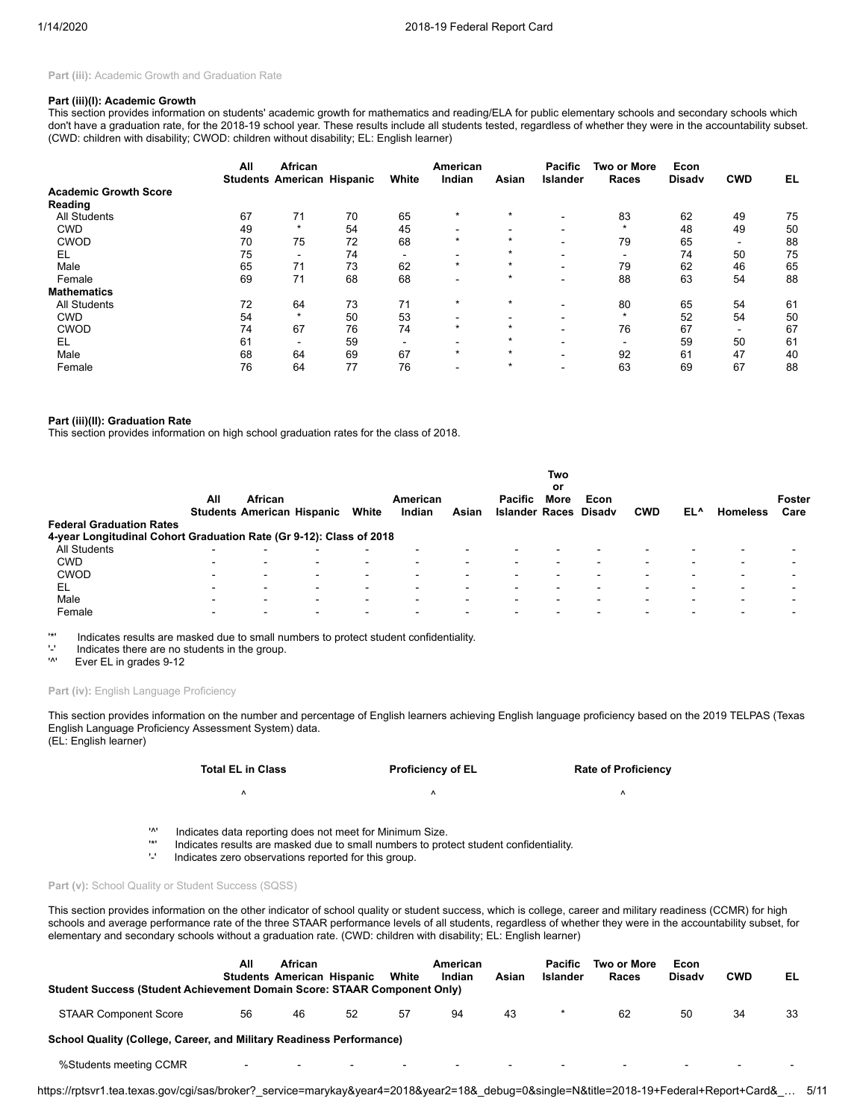Part (iii): Academic Growth and Graduation Rate

#### **Part (iii)(I): Academic Growth**

This section provides information on students' academic growth for mathematics and reading/ELA for public elementary schools and secondary schools which don't have a graduation rate, for the 2018-19 school year. These results include all students tested, regardless of whether they were in the accountability subset. (CWD: children with disability; CWOD: children without disability; EL: English learner)

|                              | All | African<br><b>Students American Hispanic</b> |    | White  | American<br>Indian       | Asian   | <b>Pacific</b><br>Islander | <b>Two or More</b><br>Races | Econ<br><b>Disady</b> | <b>CWD</b>               | EL |
|------------------------------|-----|----------------------------------------------|----|--------|--------------------------|---------|----------------------------|-----------------------------|-----------------------|--------------------------|----|
| <b>Academic Growth Score</b> |     |                                              |    |        |                          |         |                            |                             |                       |                          |    |
| Reading                      |     |                                              |    |        |                          |         |                            |                             |                       |                          |    |
| <b>All Students</b>          | 67  | 71                                           | 70 | 65     | $\star$                  | $\star$ | $\overline{\phantom{0}}$   | 83                          | 62                    | 49                       | 75 |
| <b>CWD</b>                   | 49  | $\star$                                      | 54 | 45     |                          |         | $\blacksquare$             | $\star$                     | 48                    | 49                       | 50 |
| <b>CWOD</b>                  | 70  | 75                                           | 72 | 68     | $\star$                  | $\star$ |                            | 79                          | 65                    | -                        | 88 |
| EL                           | 75  | ۰                                            | 74 | -      | $\blacksquare$           |         | $\overline{\phantom{0}}$   | $\blacksquare$              | 74                    | 50                       | 75 |
| Male                         | 65  | 71                                           | 73 | 62     | $\star$                  | $\star$ | $\overline{\phantom{0}}$   | 79                          | 62                    | 46                       | 65 |
| Female                       | 69  | 71                                           | 68 | 68     | $\overline{\phantom{0}}$ | ÷       | $\overline{\phantom{0}}$   | 88                          | 63                    | 54                       | 88 |
| <b>Mathematics</b>           |     |                                              |    |        |                          |         |                            |                             |                       |                          |    |
| <b>All Students</b>          | 72  | 64                                           | 73 | 71     | $\star$                  | $\star$ |                            | 80                          | 65                    | 54                       | 61 |
| <b>CWD</b>                   | 54  | $\star$                                      | 50 | 53     |                          |         |                            | $\star$                     | 52                    | 54                       | 50 |
| <b>CWOD</b>                  | 74  | 67                                           | 76 | 74     | $\star$                  | $\star$ |                            | 76                          | 67                    | $\overline{\phantom{0}}$ | 67 |
| EL                           | 61  | -                                            | 59 | $\sim$ | $\overline{\phantom{a}}$ | $\star$ |                            | $\overline{\phantom{0}}$    | 59                    | 50                       | 61 |
| Male                         | 68  | 64                                           | 69 | 67     | $\star$                  | $\star$ | $\blacksquare$             | 92                          | 61                    | 47                       | 40 |
| Female                       | 76  | 64                                           | 77 | 76     | $\overline{\phantom{0}}$ | $\star$ | $\overline{\phantom{0}}$   | 63                          | 69                    | 67                       | 88 |

#### **Part (iii)(II): Graduation Rate**

This section provides information on high school graduation rates for the class of 2018.

| <b>Federal Graduation Rates</b>                                     | All | African                  | <b>Students American Hispanic</b> | White | American<br>Indian | Asian | <b>Pacific</b><br><b>Islander Races Disady</b> | Two<br>or<br>More | Econ | <b>CWD</b>               | EL^ | <b>Homeless</b> | Foster<br>Care |
|---------------------------------------------------------------------|-----|--------------------------|-----------------------------------|-------|--------------------|-------|------------------------------------------------|-------------------|------|--------------------------|-----|-----------------|----------------|
| 4-year Longitudinal Cohort Graduation Rate (Gr 9-12): Class of 2018 |     |                          |                                   |       |                    |       |                                                |                   |      |                          |     |                 |                |
| All Students                                                        |     |                          | -                                 |       |                    |       |                                                |                   |      |                          |     |                 |                |
| <b>CWD</b>                                                          | -   | $\overline{\phantom{0}}$ | $\,$                              | -     |                    |       |                                                |                   |      | $\overline{\phantom{0}}$ |     |                 |                |
| <b>CWOD</b>                                                         | -   | $\overline{\phantom{0}}$ | $\blacksquare$                    | -     |                    |       |                                                |                   |      | $\overline{\phantom{0}}$ |     | -               |                |
| EL                                                                  | -   | -                        | $\,$                              | -     |                    |       |                                                |                   |      | $\overline{\phantom{0}}$ | -   |                 |                |
| Male                                                                | -   | $\overline{\phantom{0}}$ | $\overline{\phantom{0}}$          | -     |                    |       |                                                |                   |      |                          |     |                 |                |
| Female                                                              |     | $\overline{\phantom{a}}$ | $\overline{\phantom{0}}$          |       |                    |       |                                                |                   |      |                          |     |                 |                |

'\*' Indicates results are masked due to small numbers to protect student confidentiality.

 $'$ -' Indicates there are no students in the group.<br>'<sup>N'</sup> Fyer FI in grades 9-12

Ever EL in grades 9-12

#### Part (iv): English Language Proficiency

This section provides information on the number and percentage of English learners achieving English language proficiency based on the 2019 TELPAS (Texas English Language Proficiency Assessment System) data. (EL: English learner)

| <b>Total EL in Class</b> | <b>Proficiency of EL</b> | <b>Rate of Proficiency</b> |
|--------------------------|--------------------------|----------------------------|
|                          |                          |                            |

'<sup>\*</sup>' Indicates data reporting does not meet for Minimum Size.<br>'\*' Indicates results are masked due to small numbers to prof

'\*' Indicates results are masked due to small numbers to protect student confidentiality.

Indicates zero observations reported for this group.

## Part (v): School Quality or Student Success (SQSS)

This section provides information on the other indicator of school quality or student success, which is college, career and military readiness (CCMR) for high schools and average performance rate of the three STAAR performance levels of all students, regardless of whether they were in the accountability subset, for elementary and secondary schools without a graduation rate. (CWD: children with disability; EL: English learner)

| Student Success (Student Achievement Domain Score: STAAR Component Only) | All       | African                  | <b>Students American Hispanic</b> | White                    | American<br>Indian       | Asian                    | Pacific<br>Islander      | Two or More<br>Races     | Econ<br><b>Disady</b> | <b>CWD</b> | EL                       |
|--------------------------------------------------------------------------|-----------|--------------------------|-----------------------------------|--------------------------|--------------------------|--------------------------|--------------------------|--------------------------|-----------------------|------------|--------------------------|
| <b>STAAR Component Score</b>                                             | 56        | 46                       | 52                                | 57                       | 94                       | 43                       |                          | 62                       | 50                    | 34         | 33                       |
| School Quality (College, Career, and Military Readiness Performance)     |           |                          |                                   |                          |                          |                          |                          |                          |                       |            |                          |
| %Students meeting CCMR                                                   | $\,$ $\,$ | $\overline{\phantom{0}}$ | $\overline{\phantom{a}}$          | $\overline{\phantom{0}}$ | $\overline{\phantom{a}}$ | $\overline{\phantom{a}}$ | $\overline{\phantom{0}}$ | $\overline{\phantom{a}}$ |                       |            | $\overline{\phantom{0}}$ |

https://rptsvr1.tea.texas.gov/cgi/sas/broker?\_service=marykay&year4=2018&year2=18&\_debug=0&single=N&title=2018-19+Federal+Report+Card&\_… 5/11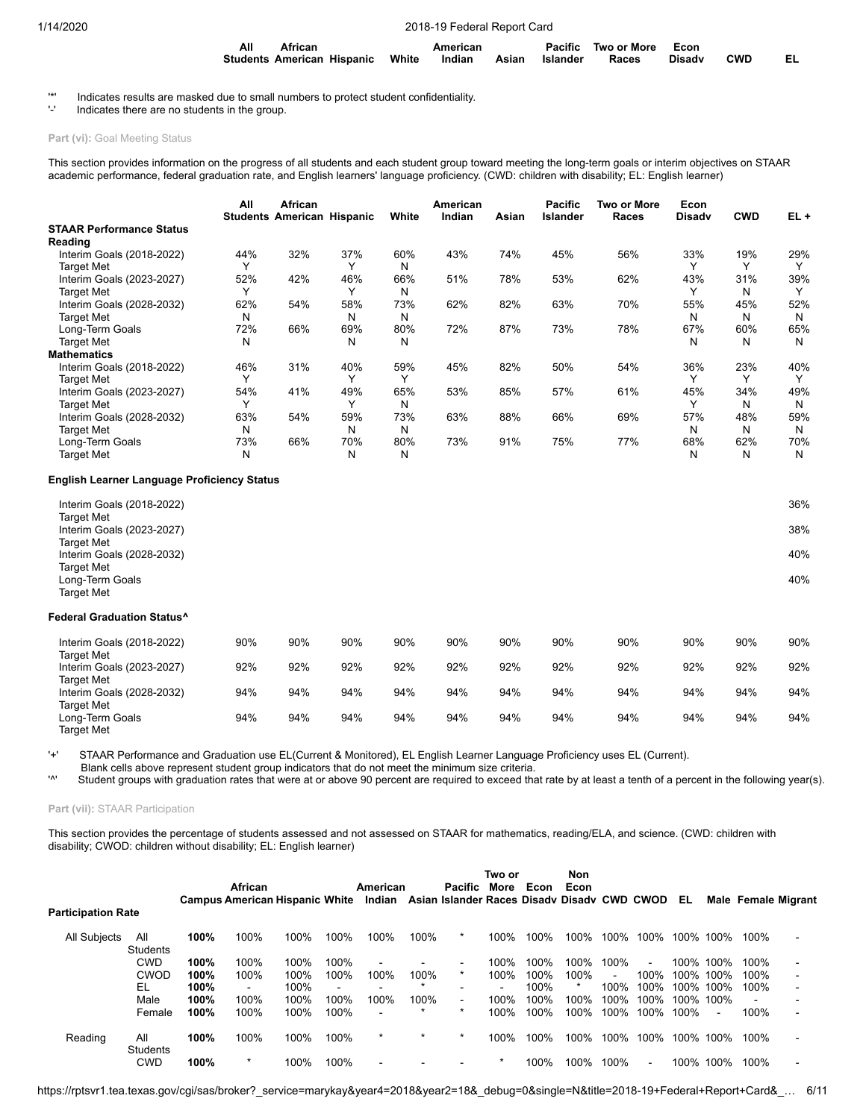| All | African                                                             | American |  | Pacific Two or More Econ |            |     |
|-----|---------------------------------------------------------------------|----------|--|--------------------------|------------|-----|
|     | Students American Hispanic White Indian Asian Islander Races Disadv |          |  |                          | <b>CWD</b> | EL. |

'\*' Indicates results are masked due to small numbers to protect student confidentiality.

Indicates there are no students in the group.

## Part (vi): Goal Meeting Status

This section provides information on the progress of all students and each student group toward meeting the long-term goals or interim objectives on STAAR academic performance, federal graduation rate, and English learners' language proficiency. (CWD: children with disability; EL: English learner)

|                                 | All | African<br><b>Students American Hispanic</b> |              | White        | American<br>Indian | Asian | <b>Pacific</b><br><b>Islander</b> | Two or More<br>Races | Econ<br><b>Disady</b> | <b>CWD</b>   | $EL +$ |
|---------------------------------|-----|----------------------------------------------|--------------|--------------|--------------------|-------|-----------------------------------|----------------------|-----------------------|--------------|--------|
| <b>STAAR Performance Status</b> |     |                                              |              |              |                    |       |                                   |                      |                       |              |        |
| Reading                         |     |                                              |              |              |                    |       |                                   |                      |                       |              |        |
| Interim Goals (2018-2022)       | 44% | 32%                                          | 37%          | 60%          | 43%                | 74%   | 45%                               | 56%                  | 33%                   | 19%          | 29%    |
| <b>Target Met</b>               |     |                                              |              | N            |                    |       |                                   |                      |                       |              | Υ      |
| Interim Goals (2023-2027)       | 52% | 42%                                          | 46%          | 66%          | 51%                | 78%   | 53%                               | 62%                  | 43%                   | 31%          | 39%    |
| <b>Target Met</b>               |     |                                              |              | N            |                    |       |                                   |                      |                       | N            | Υ      |
| Interim Goals (2028-2032)       | 62% | 54%                                          | 58%          | 73%          | 62%                | 82%   | 63%                               | 70%                  | 55%                   | 45%          | 52%    |
| <b>Target Met</b>               | N   |                                              | N            | N            |                    |       |                                   |                      | N                     | Ν            | N      |
| Long-Term Goals                 | 72% | 66%                                          | 69%          | 80%          | 72%                | 87%   | 73%                               | 78%                  | 67%                   | 60%          | 65%    |
| <b>Target Met</b>               | N   |                                              | N            | N            |                    |       |                                   |                      | N                     | Ν            | N      |
| <b>Mathematics</b>              |     |                                              |              |              |                    |       |                                   |                      |                       |              |        |
| Interim Goals (2018-2022)       | 46% | 31%                                          | 40%          | 59%          | 45%                | 82%   | 50%                               | 54%                  | 36%                   | 23%          | 40%    |
| <b>Target Met</b>               |     |                                              | $\checkmark$ | $\checkmark$ |                    |       |                                   |                      |                       | $\checkmark$ | Υ      |
| Interim Goals (2023-2027)       | 54% | 41%                                          | 49%          | 65%          | 53%                | 85%   | 57%                               | 61%                  | 45%                   | 34%          | 49%    |
| <b>Target Met</b>               |     |                                              |              | N            |                    |       |                                   |                      |                       | N            | N      |
| Interim Goals (2028-2032)       | 63% | 54%                                          | 59%          | 73%          | 63%                | 88%   | 66%                               | 69%                  | 57%                   | 48%          | 59%    |
| <b>Target Met</b>               | N   |                                              | N            | N            |                    |       |                                   |                      | N                     | Ν            | N      |
| Long-Term Goals                 | 73% | 66%                                          | 70%          | 80%          | 73%                | 91%   | 75%                               | 77%                  | 68%                   | 62%          | 70%    |
| <b>Target Met</b>               | N   |                                              | N            | N            |                    |       |                                   |                      | N                     | N            | N      |

#### **English Learner Language Proficiency Status**

| Interim Goals (2018-2022)<br><b>Target Met</b><br>Interim Goals (2023-2027) |     |     |     |     |     |     |     |     |     |     | 36%<br>38% |
|-----------------------------------------------------------------------------|-----|-----|-----|-----|-----|-----|-----|-----|-----|-----|------------|
| <b>Target Met</b><br>Interim Goals (2028-2032)                              |     |     |     |     |     |     |     |     |     |     | 40%        |
| <b>Target Met</b><br>Long-Term Goals<br><b>Target Met</b>                   |     |     |     |     |     |     |     |     |     |     | 40%        |
| <b>Federal Graduation Status^</b>                                           |     |     |     |     |     |     |     |     |     |     |            |
| Interim Goals (2018-2022)<br><b>Target Met</b>                              | 90% | 90% | 90% | 90% | 90% | 90% | 90% | 90% | 90% | 90% | 90%        |
| Interim Goals (2023-2027)<br><b>Target Met</b>                              | 92% | 92% | 92% | 92% | 92% | 92% | 92% | 92% | 92% | 92% | 92%        |
| Interim Goals (2028-2032)<br><b>Target Met</b>                              | 94% | 94% | 94% | 94% | 94% | 94% | 94% | 94% | 94% | 94% | 94%        |
| Long-Term Goals<br><b>Target Met</b>                                        | 94% | 94% | 94% | 94% | 94% | 94% | 94% | 94% | 94% | 94% | 94%        |

'+' STAAR Performance and Graduation use EL(Current & Monitored), EL English Learner Language Proficiency uses EL (Current).

Blank cells above represent student group indicators that do not meet the minimum size criteria.<br>Student groups with graduation rates that were at or above 90 percent are required to exceed the

Student groups with graduation rates that were at or above 90 percent are required to exceed that rate by at least a tenth of a percent in the following year(s).

## **Part (vii):** STAAR Participation

This section provides the percentage of students assessed and not assessed on STAAR for mathematics, reading/ELA, and science. (CWD: children with disability; CWOD: children without disability; EL: English learner)

|                           |                        |      | African        |                                       |                          | American       |         | <b>Pacific</b>                              | Two or<br>More | Econ | Non<br>Econ |        |                |      |      |      |                     |
|---------------------------|------------------------|------|----------------|---------------------------------------|--------------------------|----------------|---------|---------------------------------------------|----------------|------|-------------|--------|----------------|------|------|------|---------------------|
| <b>Participation Rate</b> |                        |      |                | <b>Campus American Hispanic White</b> |                          | Indian         |         | Asian Islander Races Disady Disady CWD CWOD |                |      |             |        |                | EL   |      |      | Male Female Migrant |
| <b>All Subjects</b>       | All<br><b>Students</b> | 100% | 100%           | 100%                                  | 100%                     | 100%           | 100%    | $\ast$                                      | 100%           | 100% | 100%        | 100%   | 100%           | 100% | 100% | 100% |                     |
|                           | <b>CWD</b>             | 100% | 100%           | 100%                                  | 100%                     |                |         | $\sim$                                      | 100%           | 100% | 100%        | 100%   | $\blacksquare$ | 100% | 100% | 100% |                     |
|                           | CWOD                   | 100% | 100%           | 100%                                  | 100%                     | 100%           | 100%    | $\star$                                     | 100%           | 100% | 100%        | $\sim$ | 100%           | 100% | 100% | 100% |                     |
|                           | EL                     | 100% | $\blacksquare$ | 100%                                  | $\overline{\phantom{a}}$ |                |         |                                             | -              | 100% | *           | 100%   | 100%           | 100% | 100% | 100% |                     |
|                           | Male                   | 100% | 100%           | 100%                                  | 100%                     | 100%           | 100%    | $\blacksquare$                              | 100%           | 100% | 100%        | 100%   | 100%           | 100% | 100% |      |                     |
|                           | Female                 | 100% | 100%           | 100%                                  | 100%                     | $\blacksquare$ |         | $\star$                                     | 100%           | 100% | 100%        | 100%   | 100%           | 100% |      | 100% |                     |
| Reading                   | All<br><b>Students</b> | 100% | 100%           | 100%                                  | 100%                     | $\ast$         | $\star$ | $\star$                                     | 100%           | 100% | 100%        | 100%   | 100%           | 100% | 100% | 100% |                     |
|                           | CWD                    | 100% | $\ast$         | 100%                                  | 100%                     |                |         |                                             |                | 100% | 100%        | 100%   | $\blacksquare$ | 100% | 100% | 100% |                     |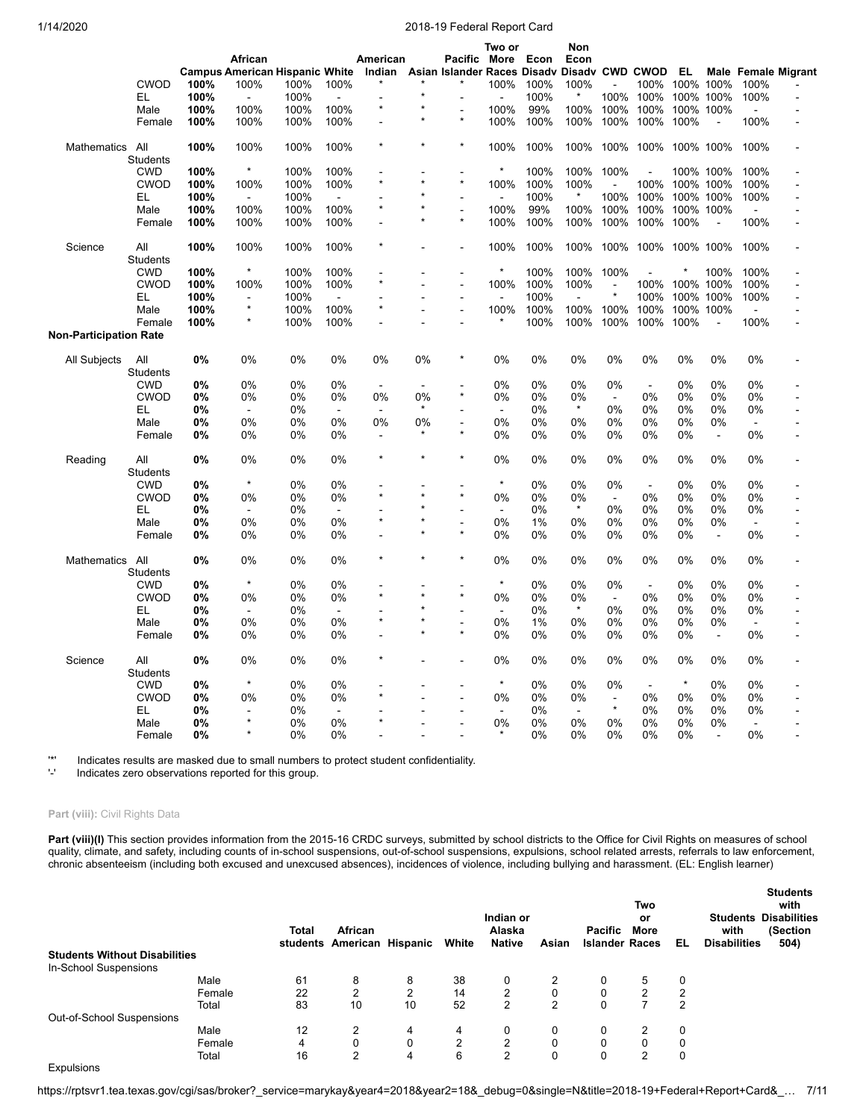|                        |                 |      |                                       |      |                |                          |         |                              | Two or                   |       | Non             |                |                |           |                |                          |                            |
|------------------------|-----------------|------|---------------------------------------|------|----------------|--------------------------|---------|------------------------------|--------------------------|-------|-----------------|----------------|----------------|-----------|----------------|--------------------------|----------------------------|
|                        |                 |      | African                               |      |                | American                 |         | Pacific More                 |                          | Econ  | Econ            |                |                |           |                |                          |                            |
|                        |                 |      | <b>Campus American Hispanic White</b> |      |                | Indian                   |         | Asian Islander Races Disadv  |                          |       | Disady CWD CWOD |                |                | EL        |                |                          | <b>Male Female Migrant</b> |
|                        | <b>CWOD</b>     | 100% | 100%                                  | 100% | 100%           |                          |         |                              | 100%                     | 100%  | 100%            |                | 100%           | 100% 100% |                | 100%                     |                            |
|                        |                 |      |                                       |      |                |                          | ÷       |                              |                          |       |                 |                |                |           |                |                          |                            |
|                        | EL              | 100% |                                       | 100% |                | $\star$                  |         |                              |                          | 100%  |                 | 100%           | 100%           |           | 100% 100%      | 100%                     |                            |
|                        | Male            | 100% | 100%                                  | 100% | 100%           |                          |         |                              | 100%                     | 99%   | 100%            | 100%           | 100%           | 100% 100% |                |                          |                            |
|                        | Female          | 100% | 100%                                  | 100% | 100%           | $\overline{a}$           | $\star$ | $\star$                      | 100%                     | 100%  | 100%            | 100%           | 100%           | 100%      |                | 100%                     | $\overline{\phantom{a}}$   |
| Mathematics            | All             | 100% | 100%                                  | 100% | 100%           | $\star$                  | $\star$ | $\star$                      | 100%                     | 100%  | 100%            |                | 100% 100%      | 100% 100% |                | 100%                     |                            |
|                        | <b>Students</b> |      |                                       |      |                |                          |         |                              |                          |       |                 |                |                |           |                |                          |                            |
|                        | <b>CWD</b>      | 100% | $\star$                               | 100% | 100%           |                          |         |                              | $\star$                  | 100%  | 100%            | 100%           |                |           | 100% 100%      | 100%                     |                            |
|                        | <b>CWOD</b>     | 100% | 100%                                  | 100% | 100%           | $\star$                  | $\star$ | $\star$                      | 100%                     | 100%  | 100%            |                | 100%           | 100% 100% |                | 100%                     |                            |
|                        | EL.             | 100% | $\blacksquare$                        | 100% | $\overline{a}$ |                          |         | $\blacksquare$               | $\blacksquare$           | 100%  | $\star$         | 100%           | 100%           | 100% 100% |                | 100%                     |                            |
|                        |                 |      |                                       |      |                | $\star$                  |         |                              |                          |       |                 |                |                |           |                |                          |                            |
|                        | Male            | 100% | 100%                                  | 100% | 100%           |                          |         | $\blacksquare$<br>$\star$    | 100%                     | 99%   | 100%            | 100%           | 100%           | 100% 100% |                |                          |                            |
|                        | Female          | 100% | 100%                                  | 100% | 100%           |                          |         |                              | 100%                     | 100%  | 100%            | 100%           | 100%           | 100%      | $\overline{a}$ | 100%                     |                            |
| Science                | All             | 100% | 100%                                  | 100% | 100%           |                          |         | $\blacksquare$               | 100%                     | 100%  | 100%            | 100%           | 100%           | 100% 100% |                | 100%                     |                            |
|                        | <b>Students</b> |      |                                       |      |                |                          |         |                              |                          |       |                 |                |                |           |                |                          |                            |
|                        | <b>CWD</b>      | 100% | $\pmb{\ast}$                          | 100% | 100%           |                          |         | $\blacksquare$               | $\ast$                   | 100%  | 100%            | 100%           |                |           | 100%           | 100%                     |                            |
|                        | <b>CWOD</b>     | 100% | 100%                                  | 100% | 100%           |                          |         | $\overline{a}$               | 100%                     | 100%  | 100%            | $\blacksquare$ | 100%           |           | 100% 100%      | 100%                     |                            |
|                        | EL.             | 100% |                                       | 100% | $\overline{a}$ |                          |         | ÷,                           | $\overline{a}$           | 100%  |                 |                | 100%           |           | 100% 100%      | 100%                     |                            |
|                        |                 |      | $\star$                               |      |                | $\star$                  |         |                              |                          |       |                 |                |                |           |                |                          |                            |
|                        | Male            | 100% |                                       | 100% | 100%           |                          |         | ÷                            | 100%                     | 100%  | 100%            | 100%           | 100%           | 100% 100% |                | $\mathbf{r}$             | $\overline{a}$             |
|                        | Female          | 100% |                                       | 100% | 100%           |                          |         |                              |                          | 100%  | 100%            | 100%           | 100%           | 100%      | $\overline{a}$ | 100%                     |                            |
| Non-Participation Rate |                 |      |                                       |      |                |                          |         |                              |                          |       |                 |                |                |           |                |                          |                            |
| All Subjects           | All             | 0%   | 0%                                    | 0%   | 0%             | 0%                       | 0%      | $\star$                      | 0%                       | 0%    | 0%              | 0%             | 0%             | 0%        | 0%             | 0%                       |                            |
|                        | Students        |      |                                       |      |                |                          |         |                              |                          |       |                 |                |                |           |                |                          |                            |
|                        | <b>CWD</b>      | 0%   | 0%                                    | 0%   | 0%             | $\overline{a}$           | $\sim$  |                              | 0%                       | 0%    | 0%              | 0%             | $\blacksquare$ | 0%        | 0%             | 0%                       |                            |
|                        | <b>CWOD</b>     | 0%   | 0%                                    | 0%   | 0%             | 0%                       | 0%      | $\star$                      | 0%                       | 0%    | 0%              | $\blacksquare$ | 0%             | 0%        | 0%             | 0%                       |                            |
|                        | EL.             | 0%   | $\blacksquare$                        | 0%   | $\blacksquare$ | $\blacksquare$           | $\ast$  |                              | $\sim$                   | 0%    | $\star$         | 0%             | $0\%$          | 0%        | 0%             | 0%                       |                            |
|                        |                 |      |                                       |      |                |                          |         |                              |                          |       |                 |                |                |           |                |                          |                            |
|                        | Male            | 0%   | 0%                                    | 0%   | 0%             | 0%                       | 0%      |                              | 0%                       | 0%    | 0%              | 0%             | 0%             | 0%        | 0%             | $\sim$                   |                            |
|                        | Female          | 0%   | 0%                                    | 0%   | 0%             | $\overline{\phantom{a}}$ |         |                              | 0%                       | 0%    | 0%              | 0%             | 0%             | 0%        | $\blacksquare$ | 0%                       |                            |
| Reading                | All             | 0%   | 0%                                    | 0%   | 0%             | $\star$                  | $\star$ | $\star$                      | 0%                       | 0%    | 0%              | 0%             | 0%             | 0%        | 0%             | 0%                       |                            |
|                        | <b>Students</b> |      |                                       |      |                |                          |         |                              |                          |       |                 |                |                |           |                |                          |                            |
|                        | <b>CWD</b>      | 0%   | $\star$                               | 0%   | 0%             |                          |         |                              | $\star$                  | 0%    | 0%              | 0%             | $\sim$         | 0%        | 0%             | 0%                       |                            |
|                        | <b>CWOD</b>     | 0%   | 0%                                    | 0%   | 0%             | $\star$                  |         | $\star$                      | 0%                       | 0%    | 0%              | $\blacksquare$ | 0%             | 0%        | 0%             | 0%                       | $\overline{\phantom{a}}$   |
|                        | EL.             | 0%   | $\sim$                                | 0%   | $\blacksquare$ |                          |         |                              | $\overline{\phantom{a}}$ | 0%    | $\star$         | 0%             | 0%             | 0%        | 0%             | 0%                       |                            |
|                        | Male            | 0%   | 0%                                    | 0%   | 0%             | $\star$                  |         | $\qquad \qquad \blacksquare$ | 0%                       | 1%    | 0%              | 0%             | 0%             | 0%        | 0%             |                          |                            |
|                        |                 |      |                                       |      |                |                          | $\star$ | $\star$                      | 0%                       | 0%    |                 |                |                |           |                |                          |                            |
|                        | Female          | 0%   | 0%                                    | 0%   | 0%             |                          |         |                              |                          |       | 0%              | 0%             | 0%             | 0%        | $\blacksquare$ | 0%                       |                            |
| Mathematics            | All             | 0%   | 0%                                    | 0%   | 0%             |                          | $\star$ |                              | 0%                       | 0%    | 0%              | 0%             | 0%             | 0%        | 0%             | 0%                       |                            |
|                        | <b>Students</b> |      |                                       |      |                |                          |         |                              |                          |       |                 |                |                |           |                |                          |                            |
|                        | <b>CWD</b>      | 0%   | $\star$                               | 0%   | 0%             |                          |         |                              | $\star$                  | 0%    | 0%              | 0%             | $\sim$         | 0%        | 0%             | 0%                       |                            |
|                        | <b>CWOD</b>     | 0%   | 0%                                    | 0%   | 0%             |                          |         | $\star$                      | 0%                       | 0%    | 0%              | $\sim$         | 0%             | 0%        | 0%             | 0%                       |                            |
|                        | EL.             | 0%   | $\blacksquare$                        | 0%   | $\blacksquare$ |                          |         |                              | $\blacksquare$           | 0%    | $\star$         | 0%             | 0%             | 0%        | 0%             | 0%                       |                            |
|                        | Male            | 0%   | 0%                                    | 0%   | 0%             |                          |         | $\overline{\phantom{a}}$     | 0%                       | 1%    | 0%              | 0%             | 0%             | 0%        | 0%             |                          |                            |
|                        | Female          | 0%   | 0%                                    | 0%   | 0%             |                          |         | $\star$                      | 0%                       | $0\%$ | 0%              | 0%             | 0%             | 0%        | $\blacksquare$ | 0%                       |                            |
|                        |                 |      |                                       |      |                |                          |         |                              |                          |       |                 |                |                |           |                |                          |                            |
| Science                | All             | 0%   | 0%                                    | 0%   | 0%             |                          |         |                              | 0%                       | 0%    | 0%              | 0%             | 0%             | 0%        | 0%             | 0%                       |                            |
|                        | <b>Students</b> |      |                                       |      |                |                          |         |                              |                          |       |                 |                |                |           |                |                          |                            |
|                        | <b>CWD</b>      | 0%   | $\star$                               | 0%   | 0%             |                          |         |                              | $\star$                  | 0%    | 0%              | 0%             | $\sim$         | $\star$   | 0%             | 0%                       |                            |
|                        | <b>CWOD</b>     | 0%   | 0%                                    | 0%   | 0%             |                          |         |                              | 0%                       | 0%    | 0%              | $\blacksquare$ | 0%             | 0%        | 0%             | 0%                       |                            |
|                        | EL              | 0%   | $\blacksquare$                        | 0%   | $\blacksquare$ |                          |         |                              | $\overline{\phantom{a}}$ | 0%    | $\blacksquare$  | $\star$        | 0%             | 0%        | 0%             | 0%                       |                            |
|                        | Male            | 0%   | $\star$                               | 0%   | 0%             | ×                        |         |                              | 0%                       | 0%    | 0%              | 0%             | 0%             | 0%        | 0%             | $\overline{\phantom{a}}$ |                            |
|                        | Female          | 0%   |                                       | 0%   | 0%             |                          |         |                              |                          | 0%    | 0%              | 0%             | 0%             | 0%        |                | 0%                       |                            |
|                        |                 |      |                                       |      |                |                          |         |                              |                          |       |                 |                |                |           |                |                          |                            |

'\*' Indicates results are masked due to small numbers to protect student confidentiality.

Indicates zero observations reported for this group.

## Part (viii): Civil Rights Data

Part (viii)(I) This section provides information from the 2015-16 CRDC surveys, submitted by school districts to the Office for Civil Rights on measures of school quality, climate, and safety, including counts of in-school suspensions, out-of-school suspensions, expulsions, school related arrests, referrals to law enforcement, chronic absenteeism (including both excused and unexcused absences), incidences of violence, including bullying and harassment. (EL: English learner)

|                                      |        | <b>Total</b><br>students | African<br>American Hispanic |                | White          | Indian or<br>Alaska<br><b>Native</b> | Asian | Pacific<br><b>Islander Races</b> | Two<br>or<br>More | EL             | <b>Students</b><br>with<br><b>Students Disabilities</b><br>with<br>(Section<br><b>Disabilities</b><br>504) |  |
|--------------------------------------|--------|--------------------------|------------------------------|----------------|----------------|--------------------------------------|-------|----------------------------------|-------------------|----------------|------------------------------------------------------------------------------------------------------------|--|
| <b>Students Without Disabilities</b> |        |                          |                              |                |                |                                      |       |                                  |                   |                |                                                                                                            |  |
| In-School Suspensions                |        |                          |                              |                |                |                                      |       |                                  |                   |                |                                                                                                            |  |
|                                      | Male   | 61                       | 8                            | 8              | 38             | 0                                    |       | 0                                | 5                 | 0              |                                                                                                            |  |
|                                      | Female | 22                       | 2                            | $\overline{2}$ | 14             | $\overline{2}$                       | 0     | 0                                | $\overline{2}$    | $\overline{2}$ |                                                                                                            |  |
|                                      | Total  | 83                       | 10                           | 10             | 52             | $\overline{2}$                       | 2     | 0                                | 7                 | $\overline{2}$ |                                                                                                            |  |
| Out-of-School Suspensions            |        |                          |                              |                |                |                                      |       |                                  |                   |                |                                                                                                            |  |
|                                      | Male   | 12                       | 2                            | 4              | 4              | 0                                    | 0     | 0                                | $\overline{2}$    | 0              |                                                                                                            |  |
|                                      | Female | 4                        | 0                            | 0              | $\overline{2}$ | $\overline{2}$                       | 0     | $\mathbf 0$                      | $\mathbf 0$       | 0              |                                                                                                            |  |
|                                      | Total  | 16                       | 2                            | 4              | 6              | $\overline{2}$                       | 0     | 0                                | $\overline{2}$    | 0              |                                                                                                            |  |
| <b>Expulsions</b>                    |        |                          |                              |                |                |                                      |       |                                  |                   |                |                                                                                                            |  |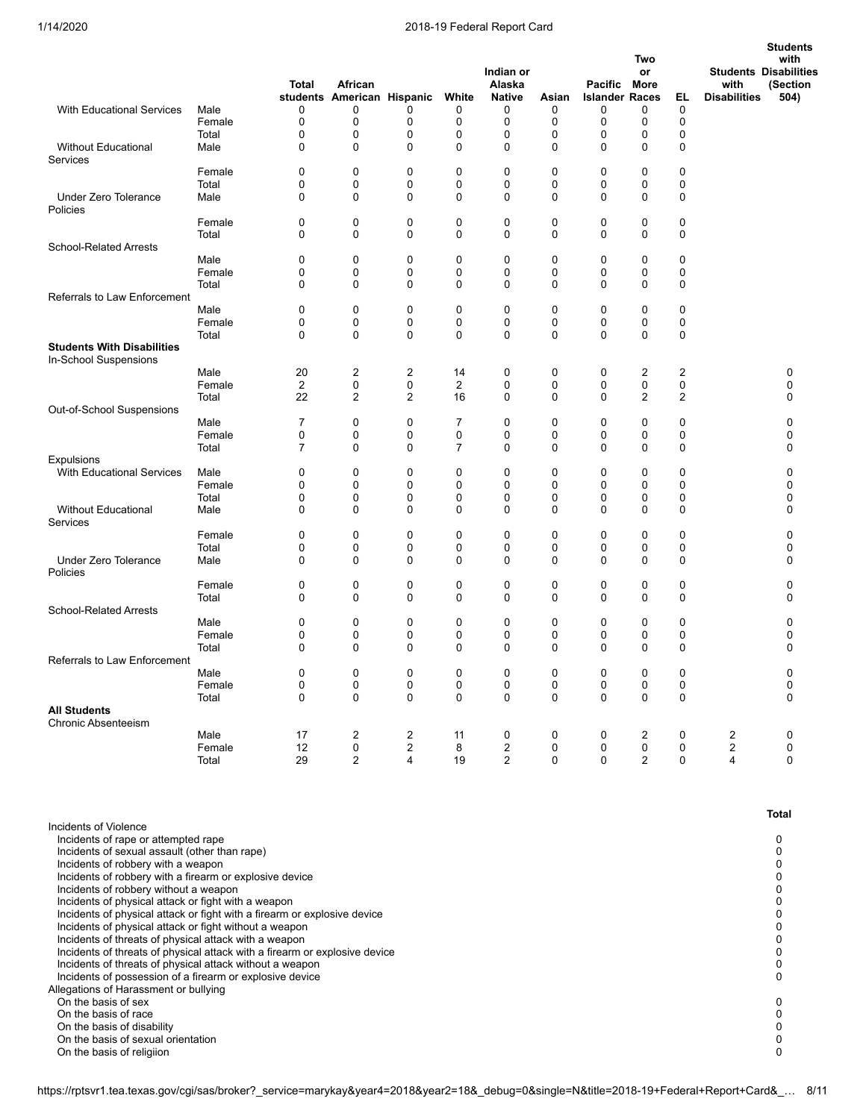|                                                                                                                                    |                         | <b>Total</b>         | African<br>students American Hispanic |                     | White                | Indian or<br>Alaska<br><b>Native</b>      | Asian                 | Pacific More<br><b>Islander Races</b> | Two<br>or                   | EL                         | with<br><b>Disabilities</b> | <b>Students</b><br>with<br><b>Students Disabilities</b><br>(Section<br>504) |
|------------------------------------------------------------------------------------------------------------------------------------|-------------------------|----------------------|---------------------------------------|---------------------|----------------------|-------------------------------------------|-----------------------|---------------------------------------|-----------------------------|----------------------------|-----------------------------|-----------------------------------------------------------------------------|
| <b>With Educational Services</b>                                                                                                   | Male<br>Female<br>Total | 0<br>0<br>0          | 0<br>0<br>0                           | 0<br>0<br>0         | 0<br>0<br>0          | 0<br>0<br>0                               | 0<br>$\mathbf 0$<br>0 | 0<br>0<br>0                           | 0<br>0<br>0                 | $\mathbf 0$<br>0<br>0      |                             |                                                                             |
| <b>Without Educational</b><br>Services                                                                                             | Male                    | 0                    | 0                                     | 0                   | 0                    | 0                                         | $\mathbf 0$           | 0                                     | 0                           | 0                          |                             |                                                                             |
|                                                                                                                                    | Female<br>Total         | 0<br>0               | 0<br>0                                | 0<br>0              | 0<br>0               | 0<br>0                                    | 0<br>$\mathbf 0$      | 0<br>0                                | 0<br>0                      | 0<br>$\mathbf 0$           |                             |                                                                             |
| <b>Under Zero Tolerance</b><br>Policies                                                                                            | Male                    | 0                    | 0                                     | 0                   | 0                    | $\mathbf 0$                               | $\mathbf 0$           | $\Omega$                              | 0                           | $\mathbf 0$                |                             |                                                                             |
|                                                                                                                                    | Female                  | 0                    | 0                                     | 0                   | 0                    | 0                                         | 0                     | 0                                     | 0                           | 0                          |                             |                                                                             |
| <b>School-Related Arrests</b>                                                                                                      | Total<br>Male           | 0<br>0               | 0<br>0                                | 0<br>0              | 0<br>0               | $\mathbf 0$<br>0                          | $\mathbf 0$<br>0      | 0<br>0                                | 0<br>0                      | $\mathbf 0$<br>$\mathbf 0$ |                             |                                                                             |
|                                                                                                                                    | Female                  | 0                    | 0                                     | 0                   | 0                    | 0                                         | 0                     | 0                                     | 0                           | 0                          |                             |                                                                             |
|                                                                                                                                    | Total                   | 0                    | 0                                     | 0                   | 0                    | $\mathbf 0$                               | 0                     | 0                                     | 0                           | 0                          |                             |                                                                             |
| Referrals to Law Enforcement                                                                                                       |                         |                      |                                       |                     |                      |                                           |                       |                                       |                             |                            |                             |                                                                             |
|                                                                                                                                    | Male<br>Female          | 0<br>0               | 0<br>0                                | 0<br>0              | 0<br>0               | 0<br>$\mathbf 0$                          | 0<br>0                | 0<br>0                                | 0<br>0                      | $\mathbf 0$<br>0           |                             |                                                                             |
|                                                                                                                                    | Total                   | 0                    | 0                                     | $\mathbf 0$         | 0                    | $\mathbf 0$                               | $\Omega$              | 0                                     | 0                           | $\mathbf 0$                |                             |                                                                             |
| <b>Students With Disabilities</b><br>In-School Suspensions                                                                         |                         |                      |                                       |                     |                      |                                           |                       |                                       |                             |                            |                             |                                                                             |
|                                                                                                                                    | Male<br>Female          | 20<br>$\overline{2}$ | 2<br>0                                | 2<br>0              | 14<br>$\overline{2}$ | 0<br>0                                    | 0<br>0                | 0<br>0                                | 2<br>0                      | $\overline{2}$<br>0        |                             | 0<br>0                                                                      |
|                                                                                                                                    | Total                   | 22                   | 2                                     | 2                   | 16                   | 0                                         | 0                     | 0                                     | 2                           | $\overline{2}$             |                             | 0                                                                           |
| Out-of-School Suspensions                                                                                                          |                         |                      |                                       |                     |                      |                                           |                       |                                       |                             |                            |                             |                                                                             |
|                                                                                                                                    | Male                    | 7                    | 0                                     | 0                   | 7                    | 0                                         | 0                     | 0                                     | 0                           | 0                          |                             | 0                                                                           |
|                                                                                                                                    | Female<br>Total         | 0<br>7               | 0<br>0                                | 0<br>0              | 0<br>$\overline{7}$  | 0<br>$\mathbf 0$                          | 0<br>0                | 0<br>0                                | 0<br>0                      | 0<br>$\mathbf 0$           |                             | 0<br>0                                                                      |
| <b>Expulsions</b>                                                                                                                  |                         |                      |                                       |                     |                      |                                           |                       |                                       |                             |                            |                             |                                                                             |
| <b>With Educational Services</b>                                                                                                   | Male                    | 0                    | 0                                     | 0                   | 0                    | 0                                         | $\mathbf 0$           | 0                                     | 0                           | 0                          |                             | 0                                                                           |
|                                                                                                                                    | Female                  | 0                    | 0                                     | 0                   | 0                    | $\mathbf 0$                               | $\mathbf 0$           | 0                                     | 0                           | 0                          |                             | $\Omega$                                                                    |
| <b>Without Educational</b><br>Services                                                                                             | Total<br>Male           | 0<br>0               | 0<br>0                                | 0<br>0              | 0<br>0               | 0<br>$\mathbf 0$                          | 0<br>0                | 0<br>0                                | 0<br>0                      | 0<br>0                     |                             | 0<br>0                                                                      |
|                                                                                                                                    | Female                  | 0                    | 0                                     | 0                   | 0                    | 0                                         | 0                     | 0                                     | 0                           | 0                          |                             | 0                                                                           |
|                                                                                                                                    | Total                   | 0                    | 0                                     | 0                   | 0                    | 0                                         | 0                     | 0                                     | 0                           | 0                          |                             | 0                                                                           |
| <b>Under Zero Tolerance</b><br>Policies                                                                                            | Male<br>Female          | 0<br>0               | 0<br>0                                | 0<br>0              | 0<br>0               | $\mathbf 0$<br>0                          | 0<br>0                | 0<br>0                                | 0<br>0                      | 0<br>0                     |                             | 0<br>0                                                                      |
|                                                                                                                                    | Total                   | 0                    | 0                                     | $\mathbf 0$         | $\mathbf 0$          | 0                                         | $\mathbf 0$           | 0                                     | 0                           | $\mathbf 0$                |                             | $\Omega$                                                                    |
| <b>School-Related Arrests</b>                                                                                                      |                         |                      |                                       |                     |                      |                                           |                       |                                       |                             |                            |                             |                                                                             |
|                                                                                                                                    | Male                    | 0<br>0               | 0                                     | 0<br>0              | 0                    | 0<br>0                                    | 0<br>0                | 0<br>0                                | 0                           | 0                          |                             | 0                                                                           |
|                                                                                                                                    | Female<br>Total         | $\Omega$             | 0<br>0                                | 0                   | 0<br>$\mathbf 0$     | $\mathbf 0$                               | $\mathbf 0$           | 0                                     | 0<br>$\mathbf 0$            | 0<br>$\mathbf 0$           |                             | 0<br>0                                                                      |
| <b>Referrals to Law Enforcement</b>                                                                                                |                         |                      |                                       |                     |                      |                                           |                       |                                       |                             |                            |                             |                                                                             |
|                                                                                                                                    | Male                    | 0                    | $\pmb{0}$                             | $\pmb{0}$           | 0                    | 0                                         | $\pmb{0}$             | 0                                     | 0                           | 0                          |                             | 0                                                                           |
|                                                                                                                                    | Female<br>Total         | 0<br>0               | 0<br>0                                | 0<br>0              | 0<br>0               | 0<br>0                                    | 0<br>$\mathbf 0$      | 0<br>0                                | 0<br>$\mathbf 0$            | 0<br>0                     |                             | 0<br>$\Omega$                                                               |
| <b>All Students</b>                                                                                                                |                         |                      |                                       |                     |                      |                                           |                       |                                       |                             |                            |                             |                                                                             |
| Chronic Absenteeism                                                                                                                |                         |                      |                                       |                     |                      |                                           |                       |                                       |                             |                            |                             |                                                                             |
|                                                                                                                                    | Male                    | 17                   | 2                                     | 2                   | 11                   | 0                                         | 0                     | 0                                     | 2                           | 0                          | 2                           | $\mathbf 0$                                                                 |
|                                                                                                                                    | Female<br>Total         | 12<br>29             | 0<br>$\overline{2}$                   | $\overline{c}$<br>4 | 8<br>19              | $\overline{\mathbf{c}}$<br>$\overline{2}$ | 0<br>$\mathbf 0$      | 0<br>0                                | $\pmb{0}$<br>$\overline{2}$ | 0<br>$\mathbf 0$           | $\overline{2}$<br>4         | $\mathbf 0$<br>$\mathbf 0$                                                  |
|                                                                                                                                    |                         |                      |                                       |                     |                      |                                           |                       |                                       |                             |                            |                             |                                                                             |
| Incidents of Violence                                                                                                              |                         |                      |                                       |                     |                      |                                           |                       |                                       |                             |                            |                             | Total                                                                       |
| Incidents of rape or attempted rape                                                                                                |                         |                      |                                       |                     |                      |                                           |                       |                                       |                             |                            |                             | 0                                                                           |
| Incidents of sexual assault (other than rape)<br>Incidents of robbery with a weapon                                                |                         |                      |                                       |                     |                      |                                           |                       |                                       |                             |                            |                             | 0<br>0                                                                      |
| Incidents of robbery with a firearm or explosive device                                                                            |                         |                      |                                       |                     |                      |                                           |                       |                                       |                             |                            |                             | 0                                                                           |
| Incidents of robbery without a weapon                                                                                              |                         |                      |                                       |                     |                      |                                           |                       |                                       |                             |                            |                             | 0                                                                           |
| Incidents of physical attack or fight with a weapon                                                                                |                         |                      |                                       |                     |                      |                                           |                       |                                       |                             |                            |                             | 0                                                                           |
| Incidents of physical attack or fight with a firearm or explosive device<br>Incidents of physical attack or fight without a weapon |                         |                      |                                       |                     |                      |                                           |                       |                                       |                             |                            |                             | 0<br>0                                                                      |
| Incidents of threats of physical attack with a weapon                                                                              |                         |                      |                                       |                     |                      |                                           |                       |                                       |                             |                            |                             | 0                                                                           |
| Incidents of threats of physical attack with a firearm or explosive device                                                         |                         |                      |                                       |                     |                      |                                           |                       |                                       |                             |                            |                             | 0                                                                           |
| Incidents of threats of physical attack without a weapon<br>Incidents of possession of a firearm or explosive device               |                         |                      |                                       |                     |                      |                                           |                       |                                       |                             |                            |                             | 0<br>0                                                                      |
| Allegations of Harassment or bullying                                                                                              |                         |                      |                                       |                     |                      |                                           |                       |                                       |                             |                            |                             |                                                                             |
| On the basis of sex                                                                                                                |                         |                      |                                       |                     |                      |                                           |                       |                                       |                             |                            |                             | 0                                                                           |
| On the basis of race                                                                                                               |                         |                      |                                       |                     |                      |                                           |                       |                                       |                             |                            |                             | 0                                                                           |
| On the basis of disability<br>On the basis of sexual orientation                                                                   |                         |                      |                                       |                     |                      |                                           |                       |                                       |                             |                            |                             | 0<br>0                                                                      |
| On the basis of religiion                                                                                                          |                         |                      |                                       |                     |                      |                                           |                       |                                       |                             |                            |                             | 0                                                                           |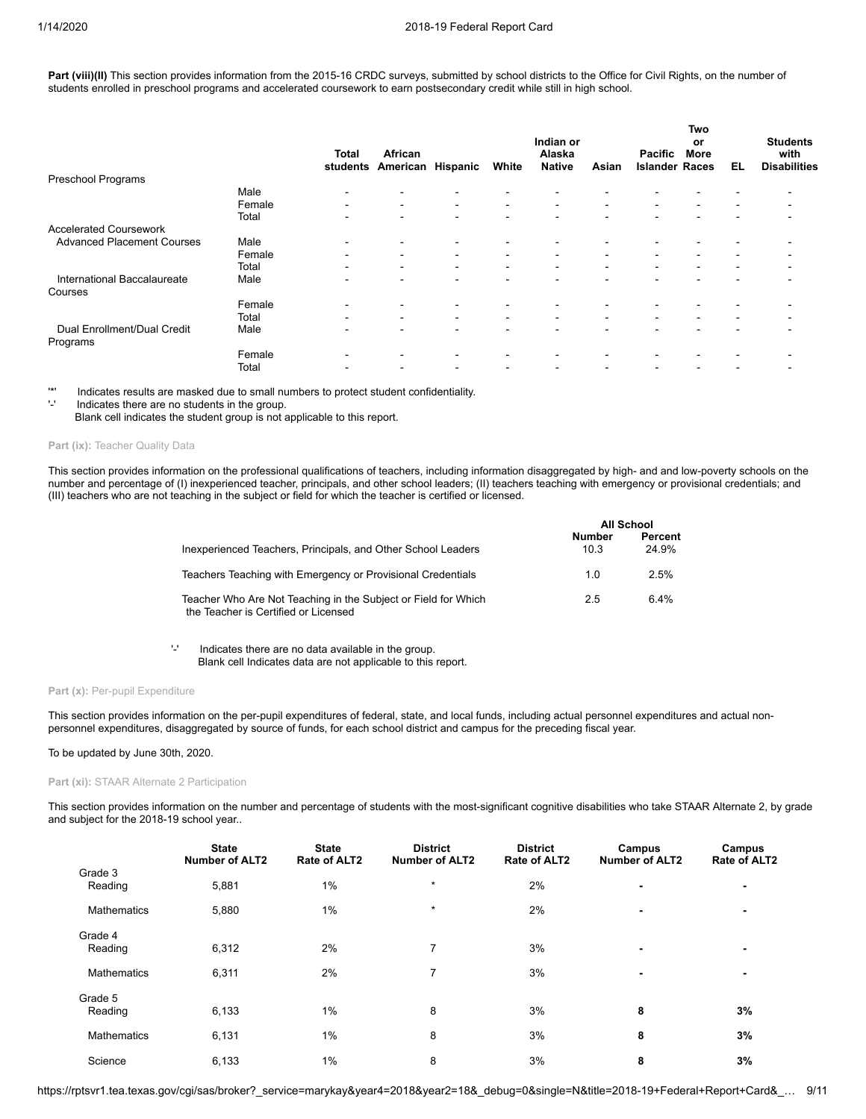Part (viii)(II) This section provides information from the 2015-16 CRDC surveys, submitted by school districts to the Office for Civil Rights, on the number of students enrolled in preschool programs and accelerated coursework to earn postsecondary credit while still in high school.

|                                         |        | <b>Total</b><br>students | African<br>American      | Hispanic                 | White                    | Indian or<br>Alaska<br><b>Native</b> | Asian                    | <b>Pacific</b><br><b>Islander Races</b> | Two<br>or<br><b>More</b> | EL                       | <b>Students</b><br>with<br><b>Disabilities</b> |  |
|-----------------------------------------|--------|--------------------------|--------------------------|--------------------------|--------------------------|--------------------------------------|--------------------------|-----------------------------------------|--------------------------|--------------------------|------------------------------------------------|--|
| Preschool Programs                      |        |                          |                          |                          |                          |                                      |                          |                                         |                          |                          |                                                |  |
|                                         | Male   |                          |                          |                          |                          |                                      |                          |                                         |                          |                          |                                                |  |
|                                         | Female | $\overline{\phantom{0}}$ | $\blacksquare$           | $\blacksquare$           | $\blacksquare$           | $\blacksquare$                       | $\blacksquare$           | ۰                                       | $\blacksquare$           |                          |                                                |  |
|                                         | Total  |                          | $\overline{\phantom{0}}$ | -                        | $\overline{\phantom{0}}$ |                                      |                          |                                         |                          |                          |                                                |  |
| <b>Accelerated Coursework</b>           |        |                          |                          |                          |                          |                                      |                          |                                         |                          |                          |                                                |  |
| <b>Advanced Placement Courses</b>       | Male   | $\overline{\phantom{0}}$ | $\blacksquare$           | $\blacksquare$           | $\blacksquare$           | $\overline{\phantom{0}}$             |                          |                                         |                          |                          |                                                |  |
|                                         | Female | $\overline{\phantom{0}}$ | $\sim$                   | $\blacksquare$           | $\blacksquare$           | $\blacksquare$                       | $\blacksquare$           | $\blacksquare$                          | $\overline{\phantom{a}}$ | $\blacksquare$           | $\overline{\phantom{0}}$                       |  |
|                                         | Total  | $\overline{\phantom{0}}$ | $\blacksquare$           | $\blacksquare$           | ۰                        | $\blacksquare$                       | $\,$                     | $\blacksquare$                          | $\overline{\phantom{a}}$ | $\overline{\phantom{a}}$ | $\,$                                           |  |
| International Baccalaureate<br>Courses  | Male   | $\overline{\phantom{0}}$ | $\sim$                   | $\sim$                   | $\blacksquare$           | $\overline{\phantom{0}}$             | $\overline{\phantom{0}}$ | -                                       | $\overline{\phantom{0}}$ | $\overline{\phantom{0}}$ | -                                              |  |
|                                         | Female |                          |                          |                          |                          |                                      |                          |                                         |                          |                          |                                                |  |
|                                         | Total  | $\overline{\phantom{0}}$ | $\blacksquare$           | $\overline{\phantom{a}}$ | $\blacksquare$           | $\blacksquare$                       | $\blacksquare$           | ۰                                       | $\blacksquare$           | $\overline{\phantom{a}}$ |                                                |  |
| Dual Enrollment/Dual Credit<br>Programs | Male   |                          | $\overline{\phantom{0}}$ | $\sim$                   | $\overline{\phantom{0}}$ |                                      | $\overline{\phantom{0}}$ |                                         |                          |                          |                                                |  |
|                                         | Female | -                        | $\overline{\phantom{0}}$ | -                        | $\overline{\phantom{a}}$ |                                      |                          |                                         |                          |                          |                                                |  |
|                                         | Total  | $\overline{\phantom{0}}$ | $\overline{\phantom{0}}$ | -                        | $\overline{\phantom{0}}$ | $\overline{\phantom{0}}$             |                          |                                         |                          |                          |                                                |  |

'\*' Indicates results are masked due to small numbers to protect student confidentiality.

Indicates there are no students in the group.

Blank cell indicates the student group is not applicable to this report.

#### Part (ix): Teacher Quality Data

This section provides information on the professional qualifications of teachers, including information disaggregated by high- and and low-poverty schools on the number and percentage of (I) inexperienced teacher, principals, and other school leaders; (II) teachers teaching with emergency or provisional credentials; and (III) teachers who are not teaching in the subject or field for which the teacher is certified or licensed.

|                                                                                                        | All School     |                  |  |
|--------------------------------------------------------------------------------------------------------|----------------|------------------|--|
| Inexperienced Teachers, Principals, and Other School Leaders                                           | Number<br>10.3 | Percent<br>24.9% |  |
| Teachers Teaching with Emergency or Provisional Credentials                                            | 1.0            | 2.5%             |  |
| Teacher Who Are Not Teaching in the Subject or Field for Which<br>the Teacher is Certified or Licensed | 2.5            | 6 4%             |  |

'-' Indicates there are no data available in the group. Blank cell Indicates data are not applicable to this report.

Part (x): Per-pupil Expenditure

This section provides information on the per-pupil expenditures of federal, state, and local funds, including actual personnel expenditures and actual nonpersonnel expenditures, disaggregated by source of funds, for each school district and campus for the preceding fiscal year.

#### To be updated by June 30th, 2020.

#### **Part (xi):** STAAR Alternate 2 Participation

This section provides information on the number and percentage of students with the most-significant cognitive disabilities who take STAAR Alternate 2, by grade and subject for the 2018-19 school year..

|                    | <b>State</b><br><b>Number of ALT2</b> | <b>State</b><br>Rate of ALT2 | <b>District</b><br><b>Number of ALT2</b> | <b>District</b><br>Rate of ALT2 | Campus<br><b>Number of ALT2</b> | Campus<br>Rate of ALT2 |
|--------------------|---------------------------------------|------------------------------|------------------------------------------|---------------------------------|---------------------------------|------------------------|
| Grade 3            |                                       |                              |                                          |                                 |                                 |                        |
| Reading            | 5,881                                 | 1%                           | $\star$                                  | 2%                              | -                               |                        |
| <b>Mathematics</b> | 5,880                                 | 1%                           | $\star$                                  | 2%                              | $\blacksquare$                  | $\blacksquare$         |
| Grade 4            |                                       |                              |                                          |                                 |                                 |                        |
| Reading            | 6,312                                 | 2%                           | 7                                        | 3%                              | $\blacksquare$                  |                        |
| <b>Mathematics</b> | 6,311                                 | 2%                           | 7                                        | 3%                              | $\blacksquare$                  |                        |
| Grade 5            |                                       |                              |                                          |                                 |                                 |                        |
| Reading            | 6,133                                 | 1%                           | 8                                        | 3%                              | 8                               | 3%                     |
| <b>Mathematics</b> | 6,131                                 | 1%                           | 8                                        | 3%                              | 8                               | 3%                     |
| Science            | 6,133                                 | 1%                           | 8                                        | 3%                              | 8                               | 3%                     |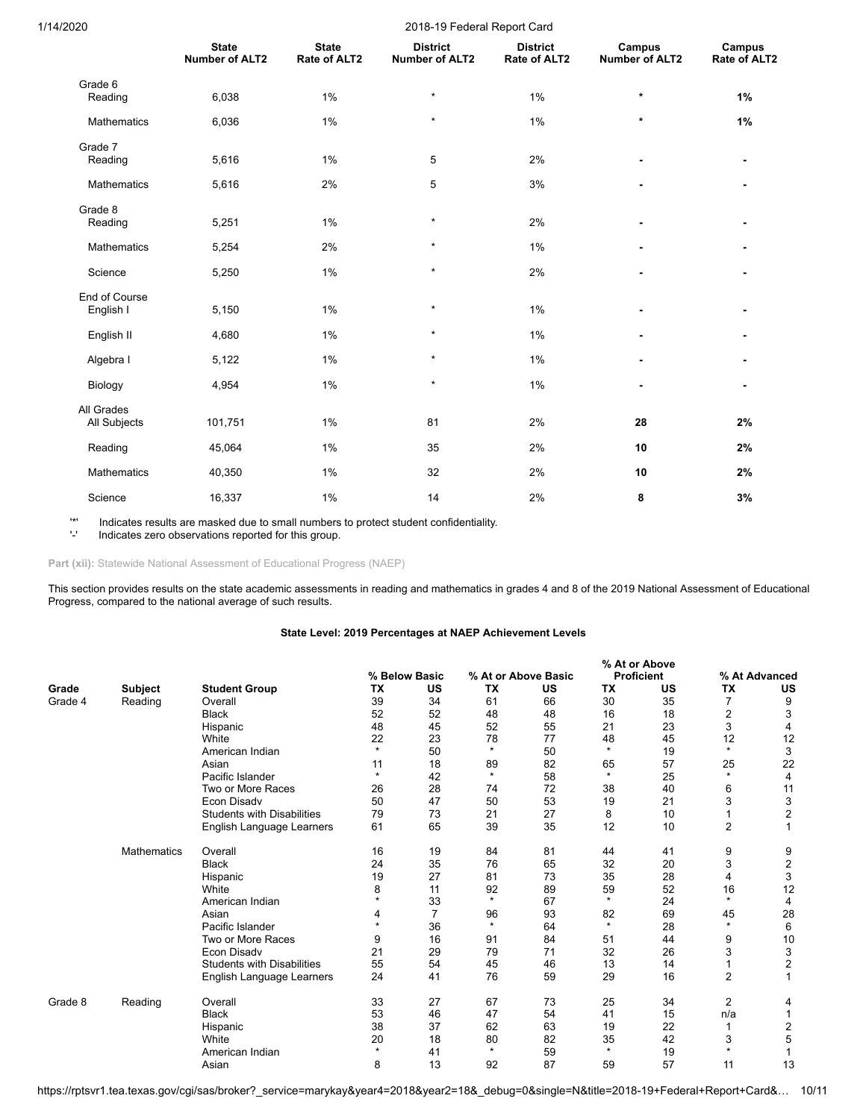| 1/14/2020                  | 2018-19 Federal Report Card           |                              |                                          |                                 |                                 |                        |  |  |  |  |  |  |  |
|----------------------------|---------------------------------------|------------------------------|------------------------------------------|---------------------------------|---------------------------------|------------------------|--|--|--|--|--|--|--|
|                            | <b>State</b><br><b>Number of ALT2</b> | <b>State</b><br>Rate of ALT2 | <b>District</b><br><b>Number of ALT2</b> | <b>District</b><br>Rate of ALT2 | Campus<br><b>Number of ALT2</b> | Campus<br>Rate of ALT2 |  |  |  |  |  |  |  |
| Grade 6<br>Reading         | 6,038                                 | 1%                           | $\star$                                  | 1%                              | $\star$                         | 1%                     |  |  |  |  |  |  |  |
| Mathematics                | 6,036                                 | 1%                           | $^\star$                                 | 1%                              | $\star$                         | 1%                     |  |  |  |  |  |  |  |
| Grade 7<br>Reading         | 5,616                                 | $1\%$                        | 5                                        | 2%                              |                                 |                        |  |  |  |  |  |  |  |
| Mathematics                | 5,616                                 | 2%                           | 5                                        | 3%                              |                                 |                        |  |  |  |  |  |  |  |
| Grade 8<br>Reading         | 5,251                                 | 1%                           | $\star$                                  | 2%                              |                                 |                        |  |  |  |  |  |  |  |
| Mathematics                | 5,254                                 | 2%                           | $^\star$                                 | 1%                              |                                 |                        |  |  |  |  |  |  |  |
| Science                    | 5,250                                 | 1%                           | $\star$                                  | 2%                              |                                 |                        |  |  |  |  |  |  |  |
| End of Course<br>English I | 5,150                                 | 1%                           | $\star$                                  | 1%                              |                                 |                        |  |  |  |  |  |  |  |
| English II                 | 4,680                                 | 1%                           | $\star$                                  | 1%                              |                                 |                        |  |  |  |  |  |  |  |
| Algebra I                  | 5,122                                 | 1%                           | $\star$                                  | 1%                              | $\overline{a}$                  |                        |  |  |  |  |  |  |  |
| Biology                    | 4,954                                 | 1%                           | $\star$                                  | 1%                              | $\blacksquare$                  | $\blacksquare$         |  |  |  |  |  |  |  |
| All Grades<br>All Subjects | 101,751                               | 1%                           | 81                                       | 2%                              | 28                              | 2%                     |  |  |  |  |  |  |  |
| Reading                    | 45,064                                | 1%                           | 35                                       | 2%                              | 10                              | 2%                     |  |  |  |  |  |  |  |
| Mathematics                | 40,350                                | $1\%$                        | 32                                       | 2%                              | 10                              | 2%                     |  |  |  |  |  |  |  |
| Science                    | 16,337                                | 1%                           | 14                                       | 2%                              | 8                               | 3%                     |  |  |  |  |  |  |  |

'\*' Indicates results are masked due to small numbers to protect student confidentiality.

Indicates zero observations reported for this group.

Part (xii): Statewide National Assessment of Educational Progress (NAEP)

This section provides results on the state academic assessments in reading and mathematics in grades 4 and 8 of the 2019 National Assessment of Educational Progress, compared to the national average of such results.

## **State Level: 2019 Percentages at NAEP Achievement Levels**

|         |                    |                                   |         |                |           | % At or Above       |           |                   |                |                         |
|---------|--------------------|-----------------------------------|---------|----------------|-----------|---------------------|-----------|-------------------|----------------|-------------------------|
|         |                    |                                   |         | % Below Basic  |           | % At or Above Basic |           | <b>Proficient</b> |                | % At Advanced           |
| Grade   | <b>Subject</b>     | <b>Student Group</b>              | TX      | US             | <b>TX</b> | US                  | <b>TX</b> | US                | TX             | US                      |
| Grade 4 | Reading            | Overall                           | 39      | 34             | 61        | 66                  | 30        | 35                | $\overline{7}$ | 9                       |
|         |                    | <b>Black</b>                      | 52      | 52             | 48        | 48                  | 16        | 18                | 2              | 3                       |
|         |                    | Hispanic                          | 48      | 45             | 52        | 55                  | 21        | 23                | 3              | 4                       |
|         |                    | White                             | 22      | 23             | 78        | 77                  | 48        | 45                | 12             | 12                      |
|         |                    | American Indian                   | $\star$ | 50             | $\star$   | 50                  | $\star$   | 19                | $\star$        | 3                       |
|         |                    | Asian                             | 11      | 18             | 89        | 82                  | 65        | 57                | 25             | 22                      |
|         |                    | Pacific Islander                  | $\star$ | 42             | $\star$   | 58                  | $\star$   | 25                | $\star$        | 4                       |
|         |                    | Two or More Races                 | 26      | 28             | 74        | 72                  | 38        | 40                | 6              | 11                      |
|         |                    | Econ Disadv                       | 50      | 47             | 50        | 53                  | 19        | 21                | 3              | 3                       |
|         |                    | <b>Students with Disabilities</b> | 79      | 73             | 21        | 27                  | 8         | 10                |                | $\overline{\mathbf{c}}$ |
|         |                    | English Language Learners         | 61      | 65             | 39        | 35                  | 12        | 10                | $\overline{2}$ | 1                       |
|         | <b>Mathematics</b> | Overall                           | 16      | 19             | 84        | 81                  | 44        | 41                | 9              | 9                       |
|         |                    | <b>Black</b>                      | 24      | 35             | 76        | 65                  | 32        | 20                | 3              | $\boldsymbol{2}$        |
|         |                    | Hispanic                          | 19      | 27             | 81        | 73                  | 35        | 28                | 4              | 3                       |
|         |                    | White                             | 8       | 11             | 92        | 89                  | 59        | 52                | 16             | 12                      |
|         |                    | American Indian                   | $\star$ | 33             | $\star$   | 67                  | $\star$   | 24                | $\star$        | 4                       |
|         |                    | Asian                             | 4       | $\overline{7}$ | 96        | 93                  | 82        | 69                | 45             | 28                      |
|         |                    | Pacific Islander                  | $\star$ | 36             | $\star$   | 64                  | $\star$   | 28                | $\star$        | 6                       |
|         |                    | Two or More Races                 | 9       | 16             | 91        | 84                  | 51        | 44                | 9              | 10                      |
|         |                    | <b>Econ Disadv</b>                | 21      | 29             | 79        | 71                  | 32        | 26                | 3              | 3                       |
|         |                    | <b>Students with Disabilities</b> | 55      | 54             | 45        | 46                  | 13        | 14                | 1              | $\overline{\mathbf{c}}$ |
|         |                    | English Language Learners         | 24      | 41             | 76        | 59                  | 29        | 16                | $\overline{2}$ | 1                       |
| Grade 8 | Reading            | Overall                           | 33      | 27             | 67        | 73                  | 25        | 34                | $\overline{2}$ | 4                       |
|         |                    | <b>Black</b>                      | 53      | 46             | 47        | 54                  | 41        | 15                | n/a            |                         |
|         |                    | Hispanic                          | 38      | 37             | 62        | 63                  | 19        | 22                |                | $\overline{2}$          |
|         |                    | White                             | 20      | 18             | 80        | 82                  | 35        | 42                | 3              | 5                       |
|         |                    | American Indian                   | $\star$ | 41             | $\star$   | 59                  | $\star$   | 19                | $\star$        |                         |
|         |                    | Asian                             | 8       | 13             | 92        | 87                  | 59        | 57                | 11             | 13                      |